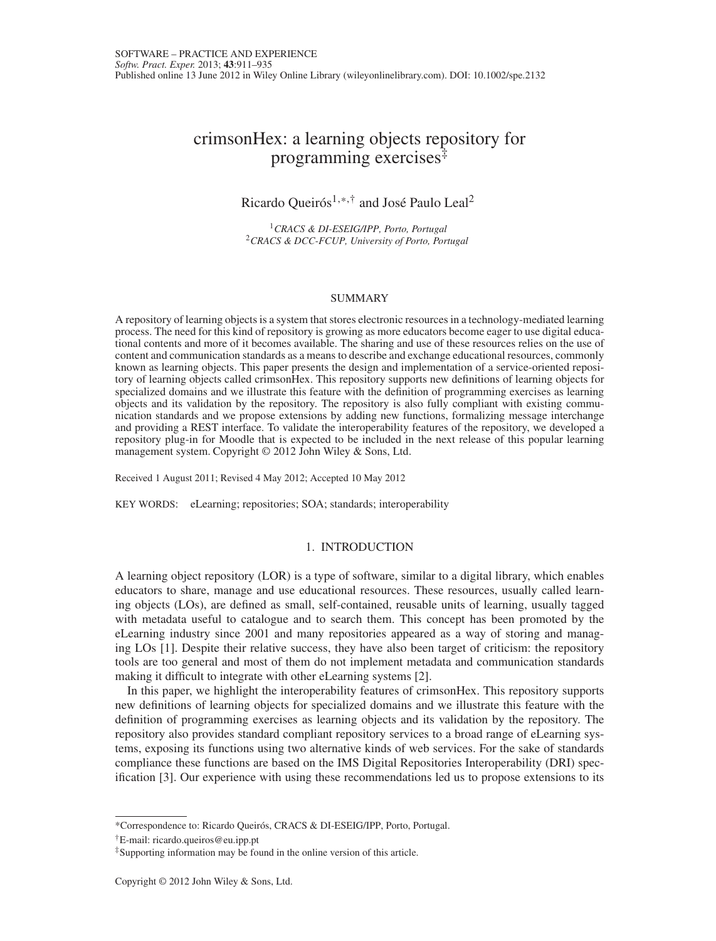# crimsonHex: a learning objects repository for programming exercises‡

Ricardo Queirós<sup>1,\*,†</sup> and José Paulo Leal<sup>2</sup>

<sup>1</sup>*CRACS & DI-ESEIG/IPP, Porto, Portugal* <sup>2</sup>*CRACS & DCC-FCUP, University of Porto, Portugal*

## SUMMARY

A repository of learning objects is a system that stores electronic resources in a technology-mediated learning process. The need for this kind of repository is growing as more educators become eager to use digital educational contents and more of it becomes available. The sharing and use of these resources relies on the use of content and communication standards as a means to describe and exchange educational resources, commonly known as learning objects. This paper presents the design and implementation of a service-oriented repository of learning objects called crimsonHex. This repository supports new definitions of learning objects for specialized domains and we illustrate this feature with the definition of programming exercises as learning objects and its validation by the repository. The repository is also fully compliant with existing communication standards and we propose extensions by adding new functions, formalizing message interchange and providing a REST interface. To validate the interoperability features of the repository, we developed a repository plug-in for Moodle that is expected to be included in the next release of this popular learning management system. Copyright © 2012 John Wiley & Sons, Ltd.

Received 1 August 2011; Revised 4 May 2012; Accepted 10 May 2012

KEY WORDS: eLearning; repositories; SOA; standards; interoperability

## 1. INTRODUCTION

A learning object repository (LOR) is a type of software, similar to a digital library, which enables educators to share, manage and use educational resources. These resources, usually called learning objects (LOs), are defined as small, self-contained, reusable units of learning, usually tagged with metadata useful to catalogue and to search them. This concept has been promoted by the eLearning industry since 2001 and many repositories appeared as a way of storing and managing LOs [1]. Despite their relative success, they have also been target of criticism: the repository tools are too general and most of them do not implement metadata and communication standards making it difficult to integrate with other eLearning systems [2].

In this paper, we highlight the interoperability features of crimsonHex. This repository supports new definitions of learning objects for specialized domains and we illustrate this feature with the definition of programming exercises as learning objects and its validation by the repository. The repository also provides standard compliant repository services to a broad range of eLearning systems, exposing its functions using two alternative kinds of web services. For the sake of standards compliance these functions are based on the IMS Digital Repositories Interoperability (DRI) specification [3]. Our experience with using these recommendations led us to propose extensions to its

<sup>\*</sup>Correspondence to: Ricardo Queirós, CRACS & DI-ESEIG/IPP, Porto, Portugal.

<sup>†</sup>E-mail: ricardo.queiros@eu.ipp.pt

<sup>‡</sup>Supporting information may be found in the online version of this article.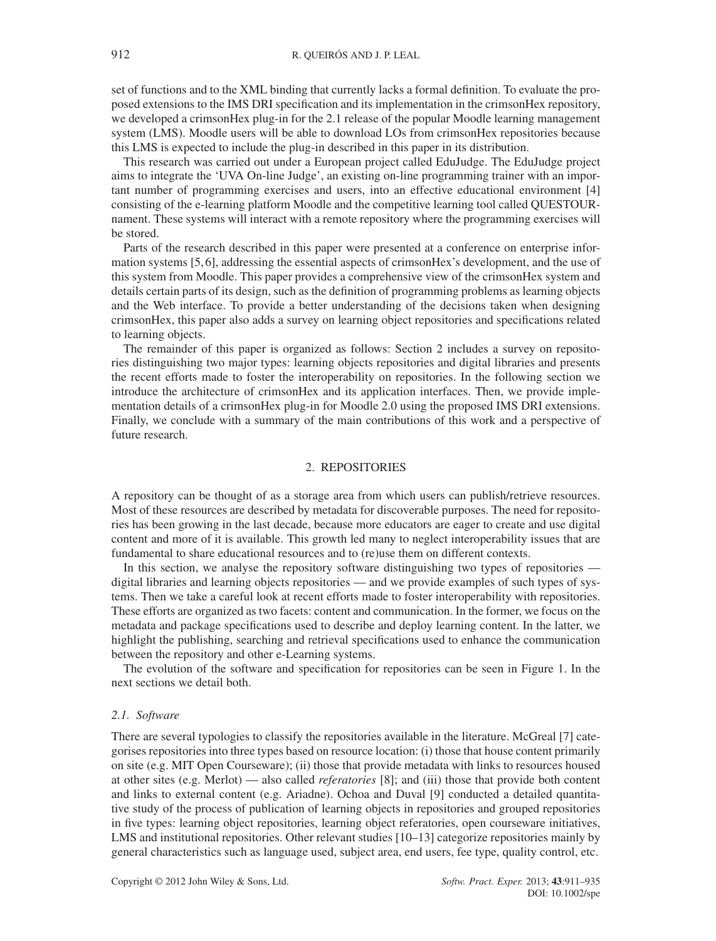set of functions and to the XML binding that currently lacks a formal definition. To evaluate the proposed extensions to the IMS DRI specification and its implementation in the crimsonHex repository, we developed a crimsonHex plug-in for the 2.1 release of the popular Moodle learning management system (LMS). Moodle users will be able to download LOs from crimsonHex repositories because this LMS is expected to include the plug-in described in this paper in its distribution.

This research was carried out under a European project called EduJudge. The EduJudge project aims to integrate the 'UVA On-line Judge', an existing on-line programming trainer with an important number of programming exercises and users, into an effective educational environment [4] consisting of the e-learning platform Moodle and the competitive learning tool called QUESTOURnament. These systems will interact with a remote repository where the programming exercises will be stored.

Parts of the research described in this paper were presented at a conference on enterprise information systems [5,6], addressing the essential aspects of crimsonHex's development, and the use of this system from Moodle. This paper provides a comprehensive view of the crimsonHex system and details certain parts of its design, such as the definition of programming problems as learning objects and the Web interface. To provide a better understanding of the decisions taken when designing crimsonHex, this paper also adds a survey on learning object repositories and specifications related to learning objects.

The remainder of this paper is organized as follows: Section 2 includes a survey on repositories distinguishing two major types: learning objects repositories and digital libraries and presents the recent efforts made to foster the interoperability on repositories. In the following section we introduce the architecture of crimsonHex and its application interfaces. Then, we provide implementation details of a crimsonHex plug-in for Moodle 2.0 using the proposed IMS DRI extensions. Finally, we conclude with a summary of the main contributions of this work and a perspective of future research.

## 2. REPOSITORIES

A repository can be thought of as a storage area from which users can publish/retrieve resources. Most of these resources are described by metadata for discoverable purposes. The need for repositories has been growing in the last decade, because more educators are eager to create and use digital content and more of it is available. This growth led many to neglect interoperability issues that are fundamental to share educational resources and to (re)use them on different contexts.

In this section, we analyse the repository software distinguishing two types of repositories digital libraries and learning objects repositories — and we provide examples of such types of systems. Then we take a careful look at recent efforts made to foster interoperability with repositories. These efforts are organized as two facets: content and communication. In the former, we focus on the metadata and package specifications used to describe and deploy learning content. In the latter, we highlight the publishing, searching and retrieval specifications used to enhance the communication between the repository and other e-Learning systems.

The evolution of the software and specification for repositories can be seen in Figure 1. In the next sections we detail both.

#### *2.1. Software*

There are several typologies to classify the repositories available in the literature. McGreal [7] categorises repositories into three types based on resource location: (i) those that house content primarily on site (e.g. MIT Open Courseware); (ii) those that provide metadata with links to resources housed at other sites (e.g. Merlot) — also called *referatories* [8]; and (iii) those that provide both content and links to external content (e.g. Ariadne). Ochoa and Duval [9] conducted a detailed quantitative study of the process of publication of learning objects in repositories and grouped repositories in five types: learning object repositories, learning object referatories, open courseware initiatives, LMS and institutional repositories. Other relevant studies [10–13] categorize repositories mainly by general characteristics such as language used, subject area, end users, fee type, quality control, etc.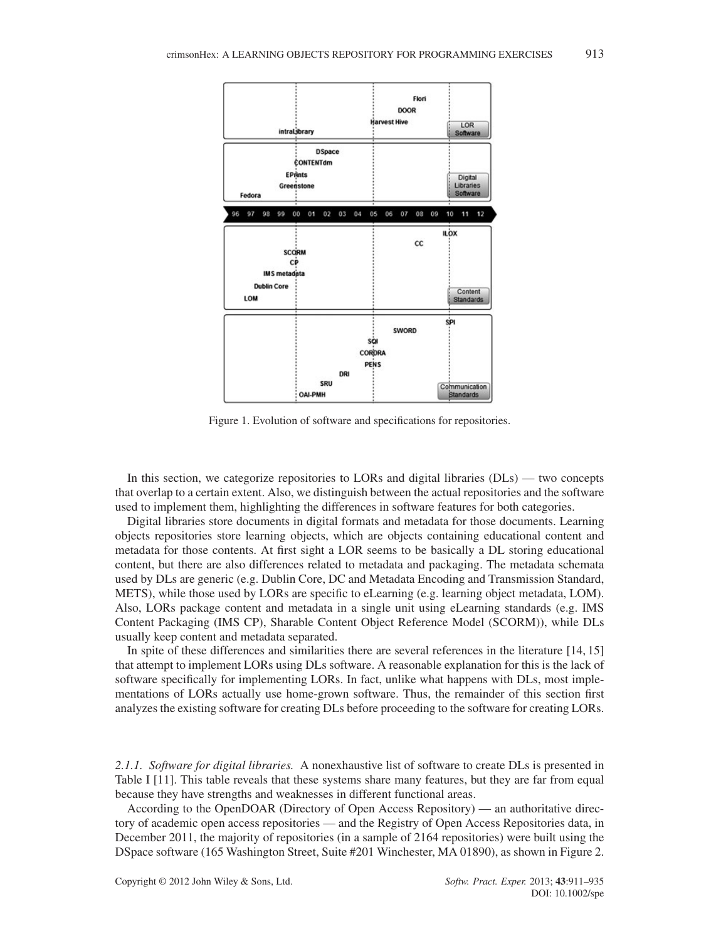

Figure 1. Evolution of software and specifications for repositories.

In this section, we categorize repositories to LORs and digital libraries (DLs) — two concepts that overlap to a certain extent. Also, we distinguish between the actual repositories and the software used to implement them, highlighting the differences in software features for both categories.

Digital libraries store documents in digital formats and metadata for those documents. Learning objects repositories store learning objects, which are objects containing educational content and metadata for those contents. At first sight a LOR seems to be basically a DL storing educational content, but there are also differences related to metadata and packaging. The metadata schemata used by DLs are generic (e.g. Dublin Core, DC and Metadata Encoding and Transmission Standard, METS), while those used by LORs are specific to eLearning (e.g. learning object metadata, LOM). Also, LORs package content and metadata in a single unit using eLearning standards (e.g. IMS Content Packaging (IMS CP), Sharable Content Object Reference Model (SCORM)), while DLs usually keep content and metadata separated.

In spite of these differences and similarities there are several references in the literature [14, 15] that attempt to implement LORs using DLs software. A reasonable explanation for this is the lack of software specifically for implementing LORs. In fact, unlike what happens with DLs, most implementations of LORs actually use home-grown software. Thus, the remainder of this section first analyzes the existing software for creating DLs before proceeding to the software for creating LORs.

*2.1.1. Software for digital libraries.* A nonexhaustive list of software to create DLs is presented in Table I [11]. This table reveals that these systems share many features, but they are far from equal because they have strengths and weaknesses in different functional areas.

According to the OpenDOAR (Directory of Open Access Repository) — an authoritative directory of academic open access repositories — and the Registry of Open Access Repositories data, in December 2011, the majority of repositories (in a sample of 2164 repositories) were built using the DSpace software (165 Washington Street, Suite #201 Winchester, MA 01890), as shown in Figure 2.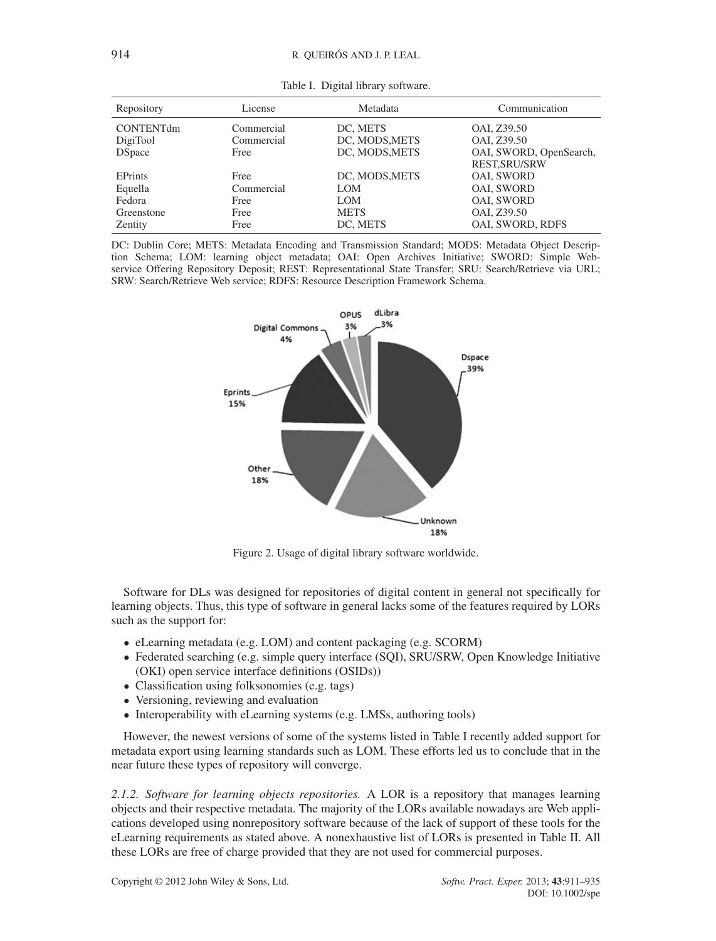| Repository        | License    | Metadata       | Communication           |
|-------------------|------------|----------------|-------------------------|
| <b>CONTENT</b> dm | Commercial | DC, METS       | OAI, Z39.50             |
| DigiTool          | Commercial | DC, MODS, METS | OAI, Z39.50             |
| <b>D</b> Space    | Free       | DC, MODS, METS | OAI, SWORD, OpenSearch, |
|                   |            |                | REST, SRU/SRW           |
| <b>EPrints</b>    | Free       | DC, MODS, METS | OAI, SWORD              |
| Equella           | Commercial | LOM            | OAI, SWORD              |
| Fedora            | Free       | LOM            | OAI, SWORD              |
| Greenstone        | Free       | <b>METS</b>    | OAI, Z39.50             |
| Zentity           | Free       | DC, METS       | OAI, SWORD, RDFS        |

Table I. Digital library software.

DC: Dublin Core; METS: Metadata Encoding and Transmission Standard; MODS: Metadata Object Description Schema; LOM: learning object metadata; OAI: Open Archives Initiative; SWORD: Simple Webservice Offering Repository Deposit; REST: Representational State Transfer; SRU: Search/Retrieve via URL; SRW: Search/Retrieve Web service; RDFS: Resource Description Framework Schema.



Figure 2. Usage of digital library software worldwide.

Software for DLs was designed for repositories of digital content in general not specifically for learning objects. Thus, this type of software in general lacks some of the features required by LORs such as the support for:

- eLearning metadata (e.g. LOM) and content packaging (e.g. SCORM)
- Federated searching (e.g. simple query interface (SQI), SRU/SRW, Open Knowledge Initiative (OKI) open service interface definitions (OSIDs))
- Classification using folksonomies (e.g. tags)
- Versioning, reviewing and evaluation
- Interoperability with eLearning systems (e.g. LMSs, authoring tools)

However, the newest versions of some of the systems listed in Table I recently added support for metadata export using learning standards such as LOM. These efforts led us to conclude that in the near future these types of repository will converge.

*2.1.2. Software for learning objects repositories.* A LOR is a repository that manages learning objects and their respective metadata. The majority of the LORs available nowadays are Web applications developed using nonrepository software because of the lack of support of these tools for the eLearning requirements as stated above. A nonexhaustive list of LORs is presented in Table II. All these LORs are free of charge provided that they are not used for commercial purposes.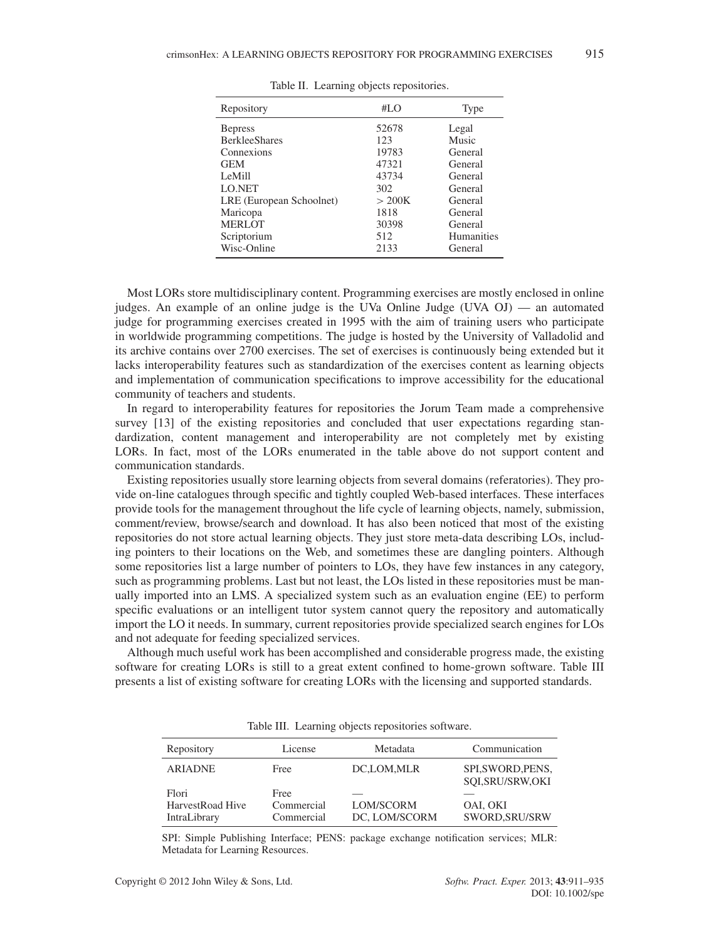| Repository               | #LO   | Type              |
|--------------------------|-------|-------------------|
| <b>Bepress</b>           | 52678 | Legal             |
| <b>BerkleeShares</b>     | 123   | Music             |
| Connexions               | 19783 | General           |
| <b>GEM</b>               | 47321 | General           |
| LeMill                   | 43734 | General           |
| LO.NET                   | 302   | General           |
| LRE (European Schoolnet) | >200K | General           |
| Maricopa                 | 1818  | General           |
| <b>MERLOT</b>            | 30398 | General           |
| Scriptorium              | 512   | <b>Humanities</b> |
| Wisc-Online              | 2133  | General           |
|                          |       |                   |

Table II. Learning objects repositories.

Most LORs store multidisciplinary content. Programming exercises are mostly enclosed in online judges. An example of an online judge is the UVa Online Judge (UVA OJ) — an automated judge for programming exercises created in 1995 with the aim of training users who participate in worldwide programming competitions. The judge is hosted by the University of Valladolid and its archive contains over 2700 exercises. The set of exercises is continuously being extended but it lacks interoperability features such as standardization of the exercises content as learning objects and implementation of communication specifications to improve accessibility for the educational community of teachers and students.

In regard to interoperability features for repositories the Jorum Team made a comprehensive survey [13] of the existing repositories and concluded that user expectations regarding standardization, content management and interoperability are not completely met by existing LORs. In fact, most of the LORs enumerated in the table above do not support content and communication standards.

Existing repositories usually store learning objects from several domains (referatories). They provide on-line catalogues through specific and tightly coupled Web-based interfaces. These interfaces provide tools for the management throughout the life cycle of learning objects, namely, submission, comment/review, browse/search and download. It has also been noticed that most of the existing repositories do not store actual learning objects. They just store meta-data describing LOs, including pointers to their locations on the Web, and sometimes these are dangling pointers. Although some repositories list a large number of pointers to LOs, they have few instances in any category, such as programming problems. Last but not least, the LOs listed in these repositories must be manually imported into an LMS. A specialized system such as an evaluation engine (EE) to perform specific evaluations or an intelligent tutor system cannot query the repository and automatically import the LO it needs. In summary, current repositories provide specialized search engines for LOs and not adequate for feeding specialized services.

Although much useful work has been accomplished and considerable progress made, the existing software for creating LORs is still to a great extent confined to home-grown software. Table III presents a list of existing software for creating LORs with the licensing and supported standards.

| Repository                       | License                  | Metadata                   | Communication                          |
|----------------------------------|--------------------------|----------------------------|----------------------------------------|
| <b>ARIADNE</b>                   | Free                     | DC,LOM, MLR                | SPI, SWORD, PENS,<br>SOI, SRU/SRW, OKI |
| Flori                            | Free                     |                            |                                        |
| HarvestRoad Hive<br>IntraLibrary | Commercial<br>Commercial | LOM/SCORM<br>DC, LOM/SCORM | OAI, OKI<br>SWORD, SRU/SRW             |

Table III. Learning objects repositories software.

SPI: Simple Publishing Interface; PENS: package exchange notification services; MLR: Metadata for Learning Resources.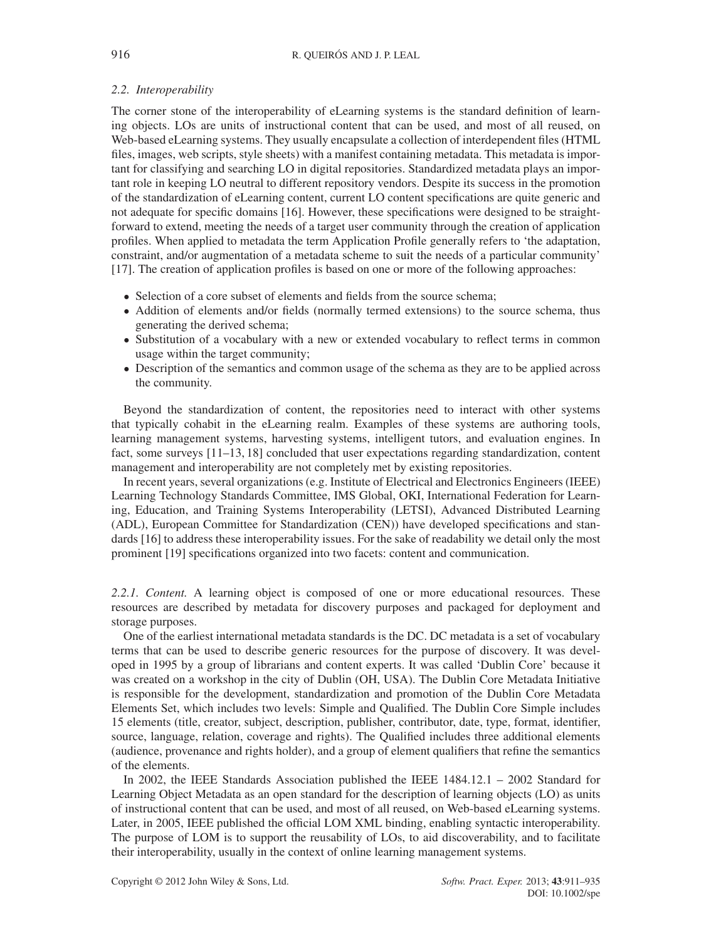# *2.2. Interoperability*

The corner stone of the interoperability of eLearning systems is the standard definition of learning objects. LOs are units of instructional content that can be used, and most of all reused, on Web-based eLearning systems. They usually encapsulate a collection of interdependent files (HTML files, images, web scripts, style sheets) with a manifest containing metadata. This metadata is important for classifying and searching LO in digital repositories. Standardized metadata plays an important role in keeping LO neutral to different repository vendors. Despite its success in the promotion of the standardization of eLearning content, current LO content specifications are quite generic and not adequate for specific domains [16]. However, these specifications were designed to be straightforward to extend, meeting the needs of a target user community through the creation of application profiles. When applied to metadata the term Application Profile generally refers to 'the adaptation, constraint, and/or augmentation of a metadata scheme to suit the needs of a particular community' [17]. The creation of application profiles is based on one or more of the following approaches:

- Selection of a core subset of elements and fields from the source schema;
- Addition of elements and/or fields (normally termed extensions) to the source schema, thus generating the derived schema;
- Substitution of a vocabulary with a new or extended vocabulary to reflect terms in common usage within the target community;
- Description of the semantics and common usage of the schema as they are to be applied across the community.

Beyond the standardization of content, the repositories need to interact with other systems that typically cohabit in the eLearning realm. Examples of these systems are authoring tools, learning management systems, harvesting systems, intelligent tutors, and evaluation engines. In fact, some surveys [11–13, 18] concluded that user expectations regarding standardization, content management and interoperability are not completely met by existing repositories.

In recent years, several organizations (e.g. Institute of Electrical and Electronics Engineers (IEEE) Learning Technology Standards Committee, IMS Global, OKI, International Federation for Learning, Education, and Training Systems Interoperability (LETSI), Advanced Distributed Learning (ADL), European Committee for Standardization (CEN)) have developed specifications and standards [16] to address these interoperability issues. For the sake of readability we detail only the most prominent [19] specifications organized into two facets: content and communication.

*2.2.1. Content.* A learning object is composed of one or more educational resources. These resources are described by metadata for discovery purposes and packaged for deployment and storage purposes.

One of the earliest international metadata standards is the DC. DC metadata is a set of vocabulary terms that can be used to describe generic resources for the purpose of discovery. It was developed in 1995 by a group of librarians and content experts. It was called 'Dublin Core' because it was created on a workshop in the city of Dublin (OH, USA). The Dublin Core Metadata Initiative is responsible for the development, standardization and promotion of the Dublin Core Metadata Elements Set, which includes two levels: Simple and Qualified. The Dublin Core Simple includes 15 elements (title, creator, subject, description, publisher, contributor, date, type, format, identifier, source, language, relation, coverage and rights). The Qualified includes three additional elements (audience, provenance and rights holder), and a group of element qualifiers that refine the semantics of the elements.

In 2002, the IEEE Standards Association published the IEEE 1484.12.1 – 2002 Standard for Learning Object Metadata as an open standard for the description of learning objects (LO) as units of instructional content that can be used, and most of all reused, on Web-based eLearning systems. Later, in 2005, IEEE published the official LOM XML binding, enabling syntactic interoperability. The purpose of LOM is to support the reusability of LOs, to aid discoverability, and to facilitate their interoperability, usually in the context of online learning management systems.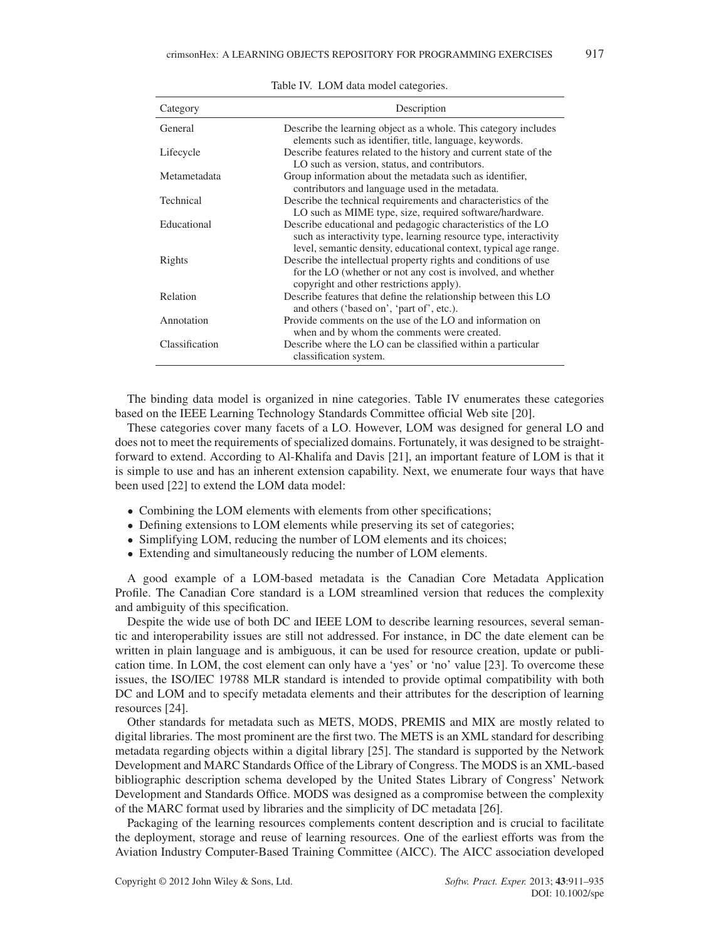| Category       | Description                                                                                                                                                                                           |
|----------------|-------------------------------------------------------------------------------------------------------------------------------------------------------------------------------------------------------|
| General        | Describe the learning object as a whole. This category includes<br>elements such as identifier, title, language, keywords.                                                                            |
| Lifecycle      | Describe features related to the history and current state of the<br>LO such as version, status, and contributors.                                                                                    |
| Metametadata   | Group information about the metadata such as identifier,<br>contributors and language used in the metadata.                                                                                           |
| Technical      | Describe the technical requirements and characteristics of the<br>LO such as MIME type, size, required software/hardware.                                                                             |
| Educational    | Describe educational and pedagogic characteristics of the LO<br>such as interactivity type, learning resource type, interactivity<br>level, semantic density, educational context, typical age range. |
| Rights         | Describe the intellectual property rights and conditions of use<br>for the LO (whether or not any cost is involved, and whether<br>copyright and other restrictions apply).                           |
| Relation       | Describe features that define the relationship between this LO<br>and others ('based on', 'part of', etc.).                                                                                           |
| Annotation     | Provide comments on the use of the LO and information on<br>when and by whom the comments were created.                                                                                               |
| Classification | Describe where the LO can be classified within a particular<br>classification system.                                                                                                                 |

|  |  |  |  | Table IV. LOM data model categories. |
|--|--|--|--|--------------------------------------|
|--|--|--|--|--------------------------------------|

The binding data model is organized in nine categories. Table IV enumerates these categories based on the IEEE Learning Technology Standards Committee official Web site [20].

These categories cover many facets of a LO. However, LOM was designed for general LO and does not to meet the requirements of specialized domains. Fortunately, it was designed to be straightforward to extend. According to Al-Khalifa and Davis [21], an important feature of LOM is that it is simple to use and has an inherent extension capability. Next, we enumerate four ways that have been used [22] to extend the LOM data model:

- Combining the LOM elements with elements from other specifications;
- Defining extensions to LOM elements while preserving its set of categories;
- Simplifying LOM, reducing the number of LOM elements and its choices;
- Extending and simultaneously reducing the number of LOM elements.

A good example of a LOM-based metadata is the Canadian Core Metadata Application Profile. The Canadian Core standard is a LOM streamlined version that reduces the complexity and ambiguity of this specification.

Despite the wide use of both DC and IEEE LOM to describe learning resources, several semantic and interoperability issues are still not addressed. For instance, in DC the date element can be written in plain language and is ambiguous, it can be used for resource creation, update or publication time. In LOM, the cost element can only have a 'yes' or 'no' value [23]. To overcome these issues, the ISO/IEC 19788 MLR standard is intended to provide optimal compatibility with both DC and LOM and to specify metadata elements and their attributes for the description of learning resources [24].

Other standards for metadata such as METS, MODS, PREMIS and MIX are mostly related to digital libraries. The most prominent are the first two. The METS is an XML standard for describing metadata regarding objects within a digital library [25]. The standard is supported by the Network Development and MARC Standards Office of the Library of Congress. The MODS is an XML-based bibliographic description schema developed by the United States Library of Congress' Network Development and Standards Office. MODS was designed as a compromise between the complexity of the MARC format used by libraries and the simplicity of DC metadata [26].

Packaging of the learning resources complements content description and is crucial to facilitate the deployment, storage and reuse of learning resources. One of the earliest efforts was from the Aviation Industry Computer-Based Training Committee (AICC). The AICC association developed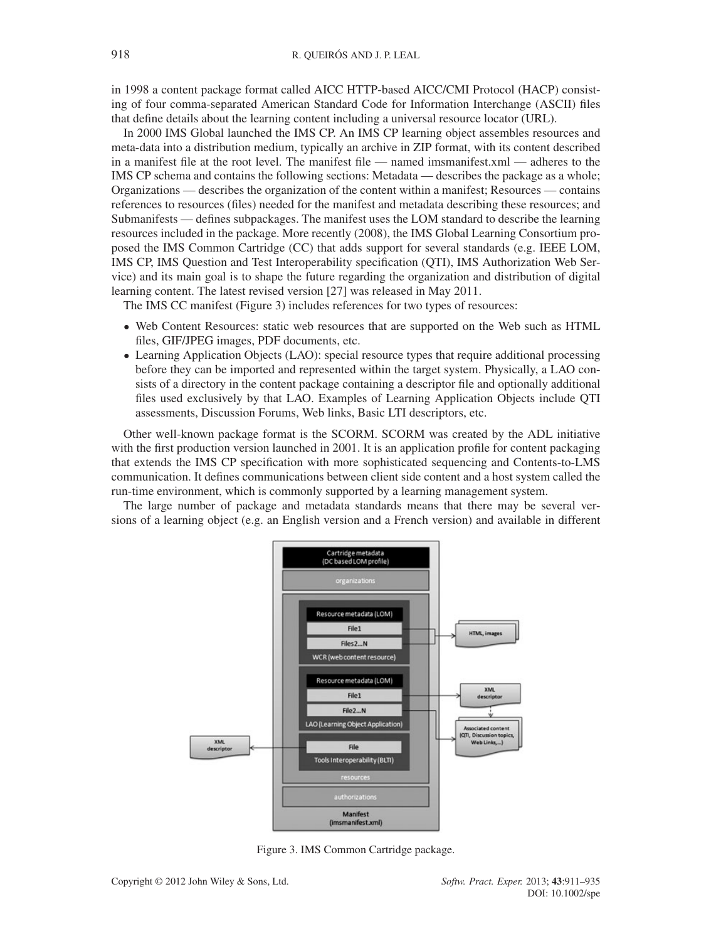in 1998 a content package format called AICC HTTP-based AICC/CMI Protocol (HACP) consisting of four comma-separated American Standard Code for Information Interchange (ASCII) files that define details about the learning content including a universal resource locator (URL).

In 2000 IMS Global launched the IMS CP. An IMS CP learning object assembles resources and meta-data into a distribution medium, typically an archive in ZIP format, with its content described in a manifest file at the root level. The manifest file — named imsmanifest.xml — adheres to the IMS CP schema and contains the following sections: Metadata — describes the package as a whole; Organizations — describes the organization of the content within a manifest; Resources — contains references to resources (files) needed for the manifest and metadata describing these resources; and Submanifests — defines subpackages. The manifest uses the LOM standard to describe the learning resources included in the package. More recently (2008), the IMS Global Learning Consortium proposed the IMS Common Cartridge (CC) that adds support for several standards (e.g. IEEE LOM, IMS CP, IMS Question and Test Interoperability specification (QTI), IMS Authorization Web Service) and its main goal is to shape the future regarding the organization and distribution of digital learning content. The latest revised version [27] was released in May 2011.

The IMS CC manifest (Figure 3) includes references for two types of resources:

- Web Content Resources: static web resources that are supported on the Web such as HTML files, GIF/JPEG images, PDF documents, etc.
- Learning Application Objects (LAO): special resource types that require additional processing before they can be imported and represented within the target system. Physically, a LAO consists of a directory in the content package containing a descriptor file and optionally additional files used exclusively by that LAO. Examples of Learning Application Objects include QTI assessments, Discussion Forums, Web links, Basic LTI descriptors, etc.

Other well-known package format is the SCORM. SCORM was created by the ADL initiative with the first production version launched in 2001. It is an application profile for content packaging that extends the IMS CP specification with more sophisticated sequencing and Contents-to-LMS communication. It defines communications between client side content and a host system called the run-time environment, which is commonly supported by a learning management system.

The large number of package and metadata standards means that there may be several versions of a learning object (e.g. an English version and a French version) and available in different



Figure 3. IMS Common Cartridge package.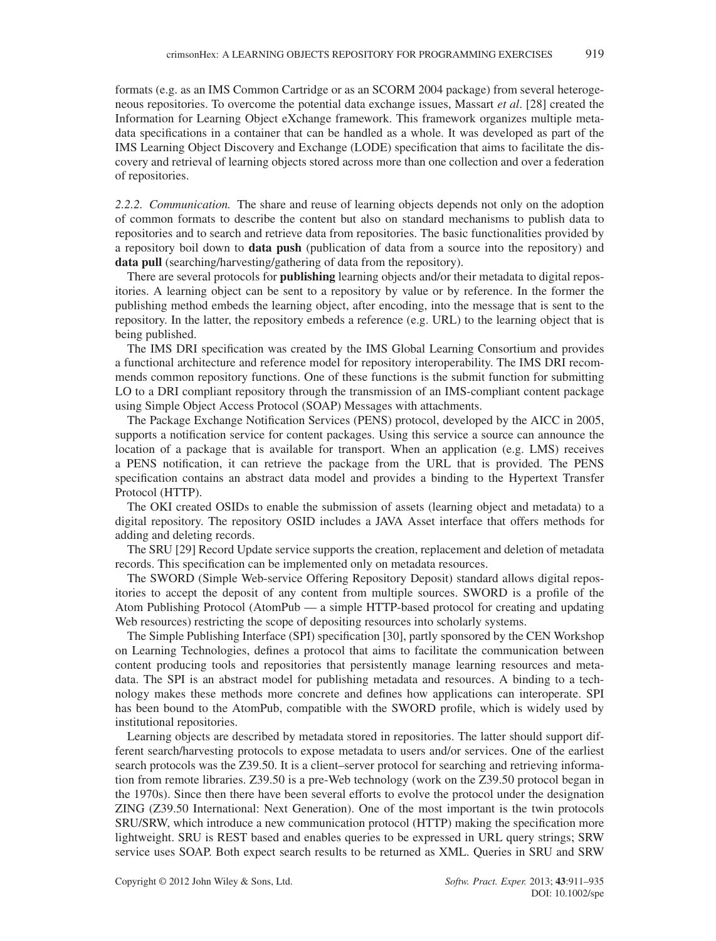formats (e.g. as an IMS Common Cartridge or as an SCORM 2004 package) from several heterogeneous repositories. To overcome the potential data exchange issues, Massart *et al*. [28] created the Information for Learning Object eXchange framework. This framework organizes multiple metadata specifications in a container that can be handled as a whole. It was developed as part of the IMS Learning Object Discovery and Exchange (LODE) specification that aims to facilitate the discovery and retrieval of learning objects stored across more than one collection and over a federation of repositories.

*2.2.2. Communication.* The share and reuse of learning objects depends not only on the adoption of common formats to describe the content but also on standard mechanisms to publish data to repositories and to search and retrieve data from repositories. The basic functionalities provided by a repository boil down to **data push** (publication of data from a source into the repository) and **data pull** (searching/harvesting/gathering of data from the repository).

There are several protocols for **publishing** learning objects and/or their metadata to digital repositories. A learning object can be sent to a repository by value or by reference. In the former the publishing method embeds the learning object, after encoding, into the message that is sent to the repository. In the latter, the repository embeds a reference (e.g. URL) to the learning object that is being published.

The IMS DRI specification was created by the IMS Global Learning Consortium and provides a functional architecture and reference model for repository interoperability. The IMS DRI recommends common repository functions. One of these functions is the submit function for submitting LO to a DRI compliant repository through the transmission of an IMS-compliant content package using Simple Object Access Protocol (SOAP) Messages with attachments.

The Package Exchange Notification Services (PENS) protocol, developed by the AICC in 2005, supports a notification service for content packages. Using this service a source can announce the location of a package that is available for transport. When an application (e.g. LMS) receives a PENS notification, it can retrieve the package from the URL that is provided. The PENS specification contains an abstract data model and provides a binding to the Hypertext Transfer Protocol (HTTP).

The OKI created OSIDs to enable the submission of assets (learning object and metadata) to a digital repository. The repository OSID includes a JAVA Asset interface that offers methods for adding and deleting records.

The SRU [29] Record Update service supports the creation, replacement and deletion of metadata records. This specification can be implemented only on metadata resources.

The SWORD (Simple Web-service Offering Repository Deposit) standard allows digital repositories to accept the deposit of any content from multiple sources. SWORD is a profile of the Atom Publishing Protocol (AtomPub — a simple HTTP-based protocol for creating and updating Web resources) restricting the scope of depositing resources into scholarly systems.

The Simple Publishing Interface (SPI) specification [30], partly sponsored by the CEN Workshop on Learning Technologies, defines a protocol that aims to facilitate the communication between content producing tools and repositories that persistently manage learning resources and metadata. The SPI is an abstract model for publishing metadata and resources. A binding to a technology makes these methods more concrete and defines how applications can interoperate. SPI has been bound to the AtomPub, compatible with the SWORD profile, which is widely used by institutional repositories.

Learning objects are described by metadata stored in repositories. The latter should support different search/harvesting protocols to expose metadata to users and/or services. One of the earliest search protocols was the Z39.50. It is a client–server protocol for searching and retrieving information from remote libraries. Z39.50 is a pre-Web technology (work on the Z39.50 protocol began in the 1970s). Since then there have been several efforts to evolve the protocol under the designation ZING (Z39.50 International: Next Generation). One of the most important is the twin protocols SRU/SRW, which introduce a new communication protocol (HTTP) making the specification more lightweight. SRU is REST based and enables queries to be expressed in URL query strings; SRW service uses SOAP. Both expect search results to be returned as XML. Queries in SRU and SRW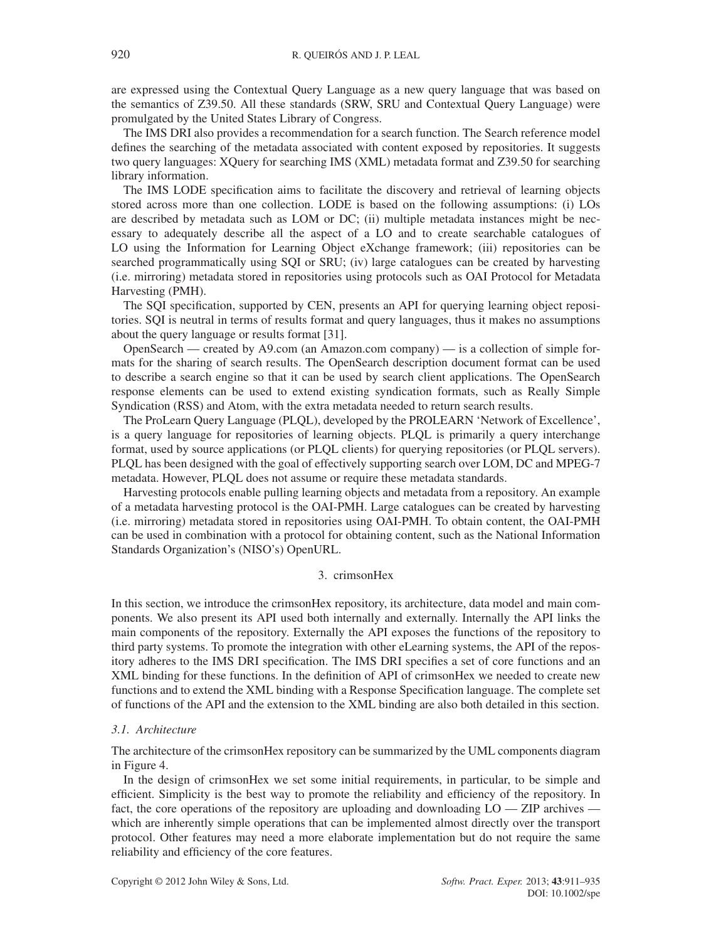are expressed using the Contextual Query Language as a new query language that was based on the semantics of Z39.50. All these standards (SRW, SRU and Contextual Query Language) were promulgated by the United States Library of Congress.

The IMS DRI also provides a recommendation for a search function. The Search reference model defines the searching of the metadata associated with content exposed by repositories. It suggests two query languages: XQuery for searching IMS (XML) metadata format and Z39.50 for searching library information.

The IMS LODE specification aims to facilitate the discovery and retrieval of learning objects stored across more than one collection. LODE is based on the following assumptions: (i) LOs are described by metadata such as LOM or DC; (ii) multiple metadata instances might be necessary to adequately describe all the aspect of a LO and to create searchable catalogues of LO using the Information for Learning Object eXchange framework; (iii) repositories can be searched programmatically using SQI or SRU; (iv) large catalogues can be created by harvesting (i.e. mirroring) metadata stored in repositories using protocols such as OAI Protocol for Metadata Harvesting (PMH).

The SQI specification, supported by CEN, presents an API for querying learning object repositories. SQI is neutral in terms of results format and query languages, thus it makes no assumptions about the query language or results format [31].

OpenSearch — created by A9.com (an Amazon.com company) — is a collection of simple formats for the sharing of search results. The OpenSearch description document format can be used to describe a search engine so that it can be used by search client applications. The OpenSearch response elements can be used to extend existing syndication formats, such as Really Simple Syndication (RSS) and Atom, with the extra metadata needed to return search results.

The ProLearn Query Language (PLQL), developed by the PROLEARN 'Network of Excellence', is a query language for repositories of learning objects. PLQL is primarily a query interchange format, used by source applications (or PLQL clients) for querying repositories (or PLQL servers). PLQL has been designed with the goal of effectively supporting search over LOM, DC and MPEG-7 metadata. However, PLQL does not assume or require these metadata standards.

Harvesting protocols enable pulling learning objects and metadata from a repository. An example of a metadata harvesting protocol is the OAI-PMH. Large catalogues can be created by harvesting (i.e. mirroring) metadata stored in repositories using OAI-PMH. To obtain content, the OAI-PMH can be used in combination with a protocol for obtaining content, such as the National Information Standards Organization's (NISO's) OpenURL.

#### 3. crimsonHex

In this section, we introduce the crimsonHex repository, its architecture, data model and main components. We also present its API used both internally and externally. Internally the API links the main components of the repository. Externally the API exposes the functions of the repository to third party systems. To promote the integration with other eLearning systems, the API of the repository adheres to the IMS DRI specification. The IMS DRI specifies a set of core functions and an XML binding for these functions. In the definition of API of crimsonHex we needed to create new functions and to extend the XML binding with a Response Specification language. The complete set of functions of the API and the extension to the XML binding are also both detailed in this section.

## *3.1. Architecture*

The architecture of the crimsonHex repository can be summarized by the UML components diagram in Figure 4.

In the design of crimsonHex we set some initial requirements, in particular, to be simple and efficient. Simplicity is the best way to promote the reliability and efficiency of the repository. In fact, the core operations of the repository are uploading and downloading  $LO - ZIP$  archives which are inherently simple operations that can be implemented almost directly over the transport protocol. Other features may need a more elaborate implementation but do not require the same reliability and efficiency of the core features.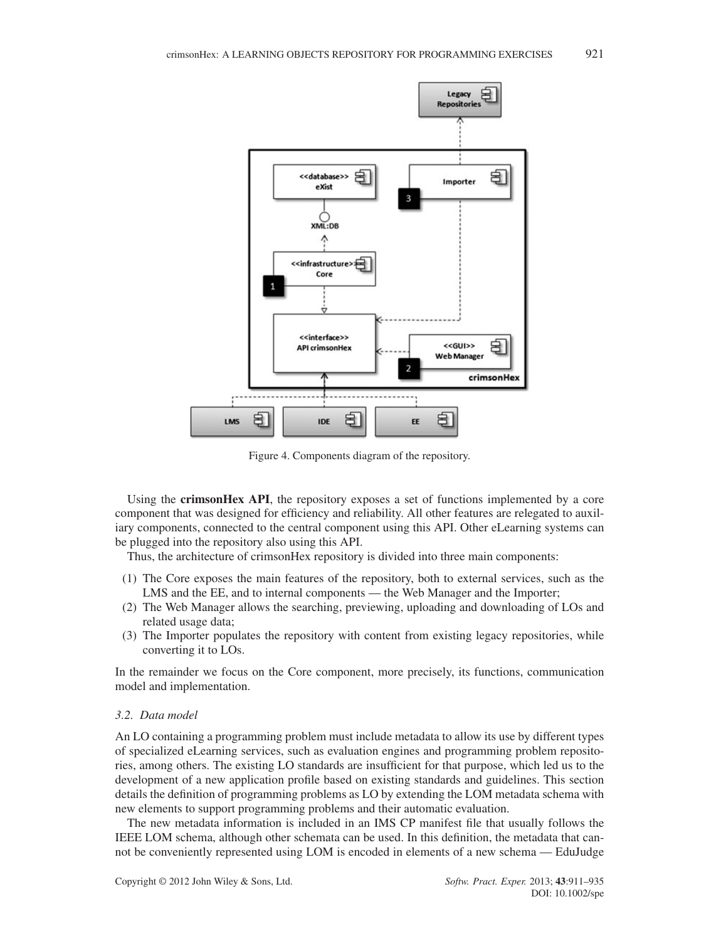

Figure 4. Components diagram of the repository.

Using the **crimsonHex API**, the repository exposes a set of functions implemented by a core component that was designed for efficiency and reliability. All other features are relegated to auxiliary components, connected to the central component using this API. Other eLearning systems can be plugged into the repository also using this API.

Thus, the architecture of crimsonHex repository is divided into three main components:

- (1) The Core exposes the main features of the repository, both to external services, such as the LMS and the EE, and to internal components — the Web Manager and the Importer;
- (2) The Web Manager allows the searching, previewing, uploading and downloading of LOs and related usage data;
- (3) The Importer populates the repository with content from existing legacy repositories, while converting it to LOs.

In the remainder we focus on the Core component, more precisely, its functions, communication model and implementation.

## *3.2. Data model*

An LO containing a programming problem must include metadata to allow its use by different types of specialized eLearning services, such as evaluation engines and programming problem repositories, among others. The existing LO standards are insufficient for that purpose, which led us to the development of a new application profile based on existing standards and guidelines. This section details the definition of programming problems as LO by extending the LOM metadata schema with new elements to support programming problems and their automatic evaluation.

The new metadata information is included in an IMS CP manifest file that usually follows the IEEE LOM schema, although other schemata can be used. In this definition, the metadata that cannot be conveniently represented using LOM is encoded in elements of a new schema — EduJudge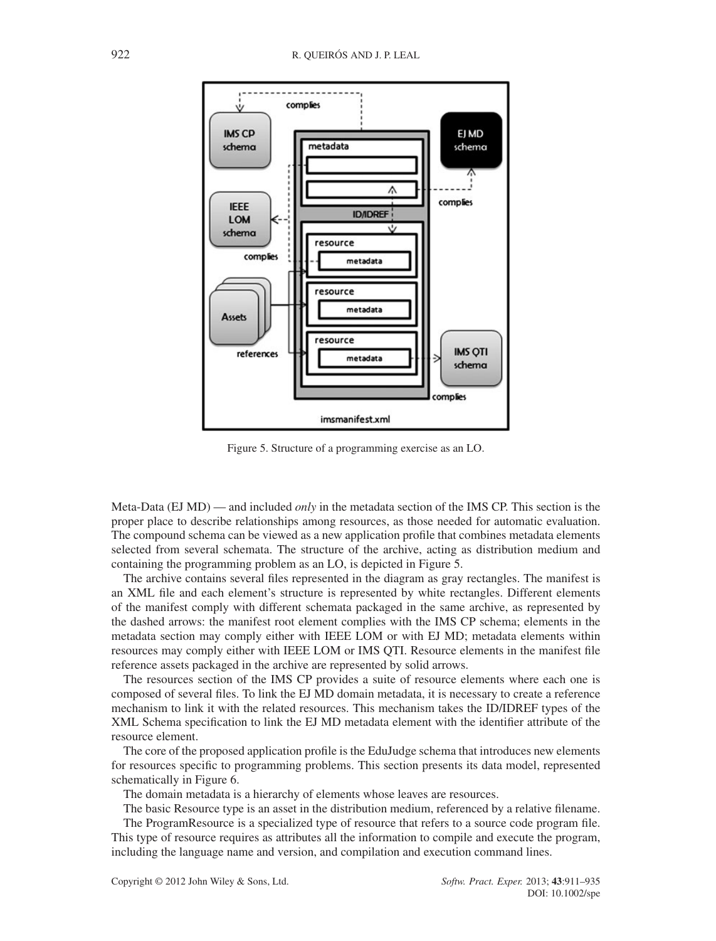

Figure 5. Structure of a programming exercise as an LO.

Meta-Data (EJ MD) — and included *only* in the metadata section of the IMS CP. This section is the proper place to describe relationships among resources, as those needed for automatic evaluation. The compound schema can be viewed as a new application profile that combines metadata elements selected from several schemata. The structure of the archive, acting as distribution medium and containing the programming problem as an LO, is depicted in Figure 5.

The archive contains several files represented in the diagram as gray rectangles. The manifest is an XML file and each element's structure is represented by white rectangles. Different elements of the manifest comply with different schemata packaged in the same archive, as represented by the dashed arrows: the manifest root element complies with the IMS CP schema; elements in the metadata section may comply either with IEEE LOM or with EJ MD; metadata elements within resources may comply either with IEEE LOM or IMS QTI. Resource elements in the manifest file reference assets packaged in the archive are represented by solid arrows.

The resources section of the IMS CP provides a suite of resource elements where each one is composed of several files. To link the EJ MD domain metadata, it is necessary to create a reference mechanism to link it with the related resources. This mechanism takes the ID/IDREF types of the XML Schema specification to link the EJ MD metadata element with the identifier attribute of the resource element.

The core of the proposed application profile is the EduJudge schema that introduces new elements for resources specific to programming problems. This section presents its data model, represented schematically in Figure 6.

The domain metadata is a hierarchy of elements whose leaves are resources.

The basic Resource type is an asset in the distribution medium, referenced by a relative filename.

The ProgramResource is a specialized type of resource that refers to a source code program file. This type of resource requires as attributes all the information to compile and execute the program, including the language name and version, and compilation and execution command lines.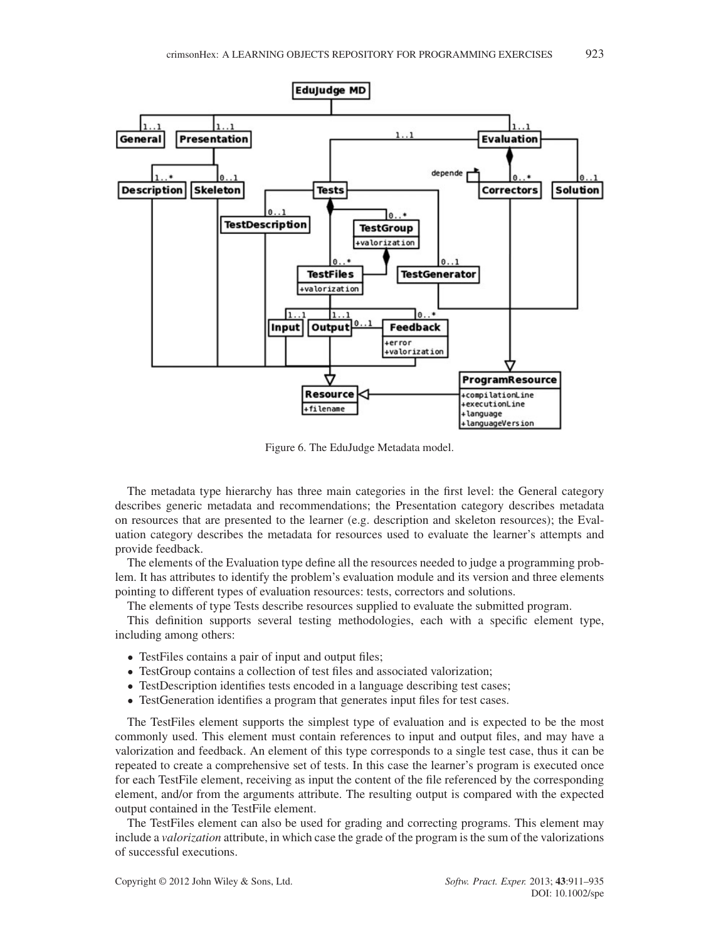

Figure 6. The EduJudge Metadata model.

The metadata type hierarchy has three main categories in the first level: the General category describes generic metadata and recommendations; the Presentation category describes metadata on resources that are presented to the learner (e.g. description and skeleton resources); the Evaluation category describes the metadata for resources used to evaluate the learner's attempts and provide feedback.

The elements of the Evaluation type define all the resources needed to judge a programming problem. It has attributes to identify the problem's evaluation module and its version and three elements pointing to different types of evaluation resources: tests, correctors and solutions.

The elements of type Tests describe resources supplied to evaluate the submitted program.

This definition supports several testing methodologies, each with a specific element type, including among others:

- TestFiles contains a pair of input and output files;
- TestGroup contains a collection of test files and associated valorization;
- TestDescription identifies tests encoded in a language describing test cases;
- TestGeneration identifies a program that generates input files for test cases.

The TestFiles element supports the simplest type of evaluation and is expected to be the most commonly used. This element must contain references to input and output files, and may have a valorization and feedback. An element of this type corresponds to a single test case, thus it can be repeated to create a comprehensive set of tests. In this case the learner's program is executed once for each TestFile element, receiving as input the content of the file referenced by the corresponding element, and/or from the arguments attribute. The resulting output is compared with the expected output contained in the TestFile element.

The TestFiles element can also be used for grading and correcting programs. This element may include a *valorization* attribute, in which case the grade of the program is the sum of the valorizations of successful executions.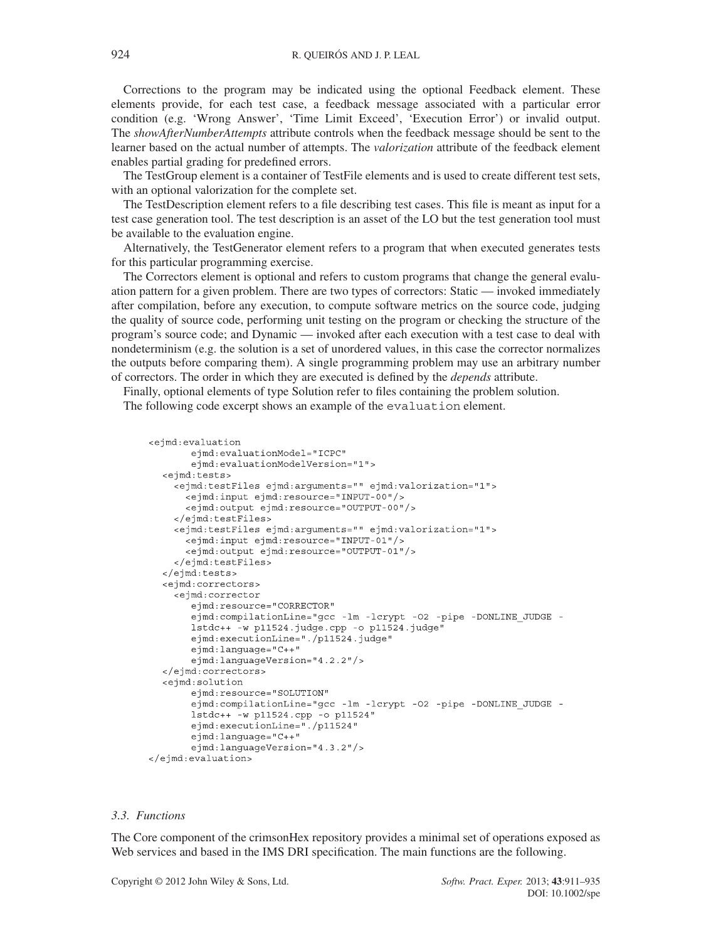Corrections to the program may be indicated using the optional Feedback element. These elements provide, for each test case, a feedback message associated with a particular error condition (e.g. 'Wrong Answer', 'Time Limit Exceed', 'Execution Error') or invalid output. The *showAfterNumberAttempts* attribute controls when the feedback message should be sent to the learner based on the actual number of attempts. The *valorization* attribute of the feedback element enables partial grading for predefined errors.

The TestGroup element is a container of TestFile elements and is used to create different test sets, with an optional valorization for the complete set.

The TestDescription element refers to a file describing test cases. This file is meant as input for a test case generation tool. The test description is an asset of the LO but the test generation tool must be available to the evaluation engine.

Alternatively, the TestGenerator element refers to a program that when executed generates tests for this particular programming exercise.

The Correctors element is optional and refers to custom programs that change the general evaluation pattern for a given problem. There are two types of correctors: Static — invoked immediately after compilation, before any execution, to compute software metrics on the source code, judging the quality of source code, performing unit testing on the program or checking the structure of the program's source code; and Dynamic — invoked after each execution with a test case to deal with nondeterminism (e.g. the solution is a set of unordered values, in this case the corrector normalizes the outputs before comparing them). A single programming problem may use an arbitrary number of correctors. The order in which they are executed is defined by the *depends* attribute.

Finally, optional elements of type Solution refer to files containing the problem solution. The following code excerpt shows an example of the evaluation element.

```
<ejmd:evaluation
       ejmd:evaluationModel="ICPC"
       ejmd:evaluationModelVersion="1">
  \epsilonaimd\cdottests\sim<eimd:testFiles eimd:arquments="" eimd:valorization="1">
      <ejmd:input ejmd:resource="INPUT-00"/>
      <ejmd:output ejmd:resource="OUTPUT-00"/>
    \alpha/eimd:testFiles>
    <ejmd:testFiles ejmd:arguments="" ejmd:valorization="1">
      <eimd:input eimd:resource="INPUT-01"/>
      <ejmd:output ejmd:resource="OUTPUT-01"/>
    </ejmd:testFiles>
  </ejmd:tests>
  <ejmd:correctors>
    <eimd:corrector
       ejmd:resource="CORRECTOR"
       ejmd:compilationLine="gcc -lm -lcrypt -02 -pipe -DONLINE JUDGE -
       lstdc++ -w p11524.judge.cpp -o p11524.judge"
       ejmd: executionLine="./p11524.judge"
       ejmd:language="C++"
       ejmd:languageVersion="4.2.2"/>
  </ejmd:correctors>
  <eimd:solution
       ejmd:resource="SOLUTION"
       ejmd:compilationLine="gcc -lm -lcrypt -02 -pipe -DONLINE JUDGE -
       lstdc++ -w p11524.cpp -o p11524"
       ejmd: executionLine="./p11524"
       ejmd:language="C++"
       ejmd:languageVersion="4.3.2"/>
</ejmd:evaluation>
```
## *3.3. Functions*

The Core component of the crimsonHex repository provides a minimal set of operations exposed as Web services and based in the IMS DRI specification. The main functions are the following.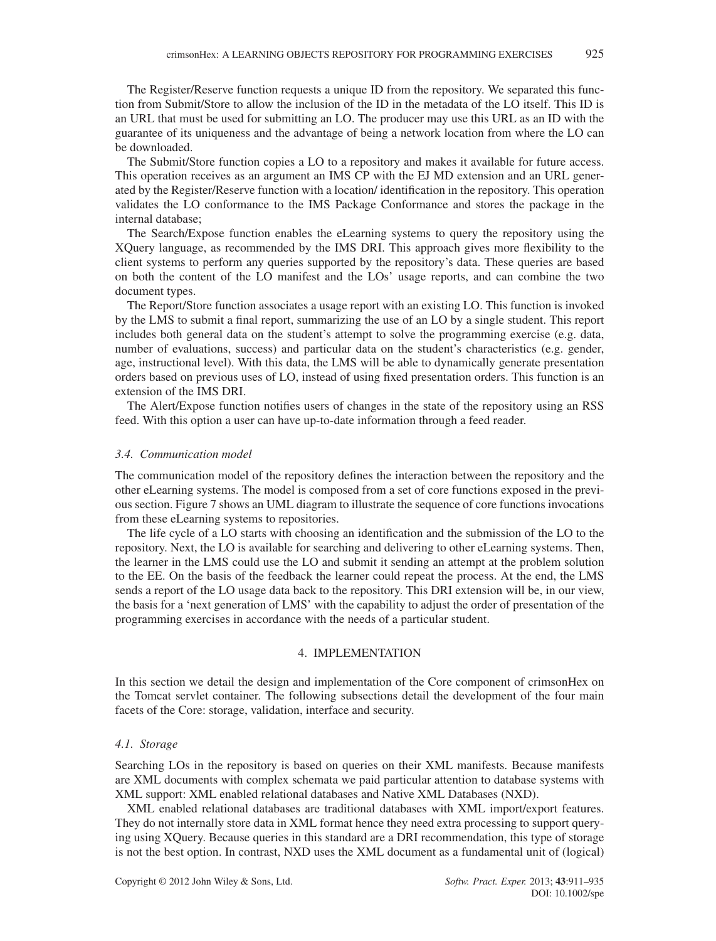The Register/Reserve function requests a unique ID from the repository. We separated this function from Submit/Store to allow the inclusion of the ID in the metadata of the LO itself. This ID is an URL that must be used for submitting an LO. The producer may use this URL as an ID with the guarantee of its uniqueness and the advantage of being a network location from where the LO can be downloaded.

The Submit/Store function copies a LO to a repository and makes it available for future access. This operation receives as an argument an IMS CP with the EJ MD extension and an URL generated by the Register/Reserve function with a location/ identification in the repository. This operation validates the LO conformance to the IMS Package Conformance and stores the package in the internal database;

The Search/Expose function enables the eLearning systems to query the repository using the XQuery language, as recommended by the IMS DRI. This approach gives more flexibility to the client systems to perform any queries supported by the repository's data. These queries are based on both the content of the LO manifest and the LOs' usage reports, and can combine the two document types.

The Report/Store function associates a usage report with an existing LO. This function is invoked by the LMS to submit a final report, summarizing the use of an LO by a single student. This report includes both general data on the student's attempt to solve the programming exercise (e.g. data, number of evaluations, success) and particular data on the student's characteristics (e.g. gender, age, instructional level). With this data, the LMS will be able to dynamically generate presentation orders based on previous uses of LO, instead of using fixed presentation orders. This function is an extension of the IMS DRI.

The Alert/Expose function notifies users of changes in the state of the repository using an RSS feed. With this option a user can have up-to-date information through a feed reader.

#### *3.4. Communication model*

The communication model of the repository defines the interaction between the repository and the other eLearning systems. The model is composed from a set of core functions exposed in the previous section. Figure 7 shows an UML diagram to illustrate the sequence of core functions invocations from these eLearning systems to repositories.

The life cycle of a LO starts with choosing an identification and the submission of the LO to the repository. Next, the LO is available for searching and delivering to other eLearning systems. Then, the learner in the LMS could use the LO and submit it sending an attempt at the problem solution to the EE. On the basis of the feedback the learner could repeat the process. At the end, the LMS sends a report of the LO usage data back to the repository. This DRI extension will be, in our view, the basis for a 'next generation of LMS' with the capability to adjust the order of presentation of the programming exercises in accordance with the needs of a particular student.

## 4. IMPLEMENTATION

In this section we detail the design and implementation of the Core component of crimsonHex on the Tomcat servlet container. The following subsections detail the development of the four main facets of the Core: storage, validation, interface and security.

## *4.1. Storage*

Searching LOs in the repository is based on queries on their XML manifests. Because manifests are XML documents with complex schemata we paid particular attention to database systems with XML support: XML enabled relational databases and Native XML Databases (NXD).

XML enabled relational databases are traditional databases with XML import/export features. They do not internally store data in XML format hence they need extra processing to support querying using XQuery. Because queries in this standard are a DRI recommendation, this type of storage is not the best option. In contrast, NXD uses the XML document as a fundamental unit of (logical)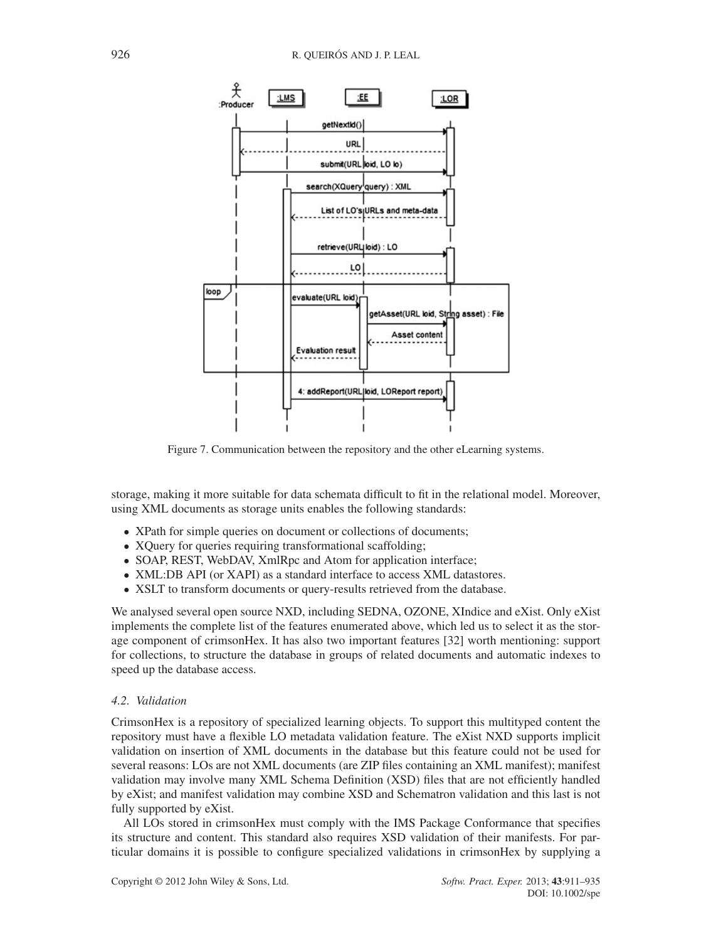

Figure 7. Communication between the repository and the other eLearning systems.

storage, making it more suitable for data schemata difficult to fit in the relational model. Moreover, using XML documents as storage units enables the following standards:

- XPath for simple queries on document or collections of documents;
- XQuery for queries requiring transformational scaffolding;
- SOAP, REST, WebDAV, XmlRpc and Atom for application interface;
- XML:DB API (or XAPI) as a standard interface to access XML datastores.
- XSLT to transform documents or query-results retrieved from the database.

We analysed several open source NXD, including SEDNA, OZONE, XIndice and eXist. Only eXist implements the complete list of the features enumerated above, which led us to select it as the storage component of crimsonHex. It has also two important features [32] worth mentioning: support for collections, to structure the database in groups of related documents and automatic indexes to speed up the database access.

# *4.2. Validation*

CrimsonHex is a repository of specialized learning objects. To support this multityped content the repository must have a flexible LO metadata validation feature. The eXist NXD supports implicit validation on insertion of XML documents in the database but this feature could not be used for several reasons: LOs are not XML documents (are ZIP files containing an XML manifest); manifest validation may involve many XML Schema Definition (XSD) files that are not efficiently handled by eXist; and manifest validation may combine XSD and Schematron validation and this last is not fully supported by eXist.

All LOs stored in crimsonHex must comply with the IMS Package Conformance that specifies its structure and content. This standard also requires XSD validation of their manifests. For particular domains it is possible to configure specialized validations in crimsonHex by supplying a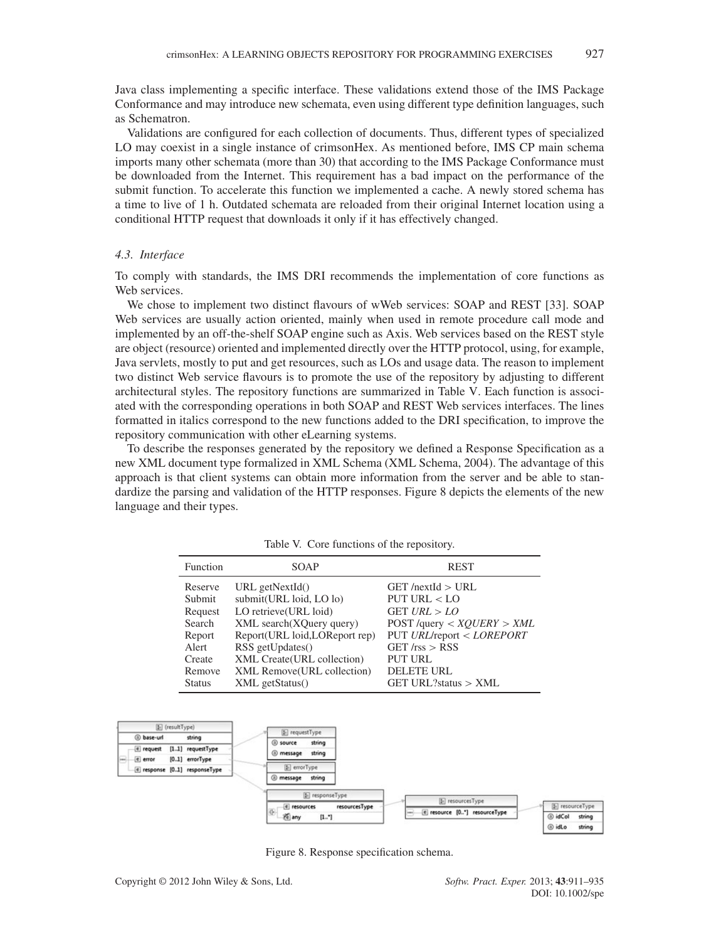Java class implementing a specific interface. These validations extend those of the IMS Package Conformance and may introduce new schemata, even using different type definition languages, such as Schematron.

Validations are configured for each collection of documents. Thus, different types of specialized LO may coexist in a single instance of crimsonHex. As mentioned before, IMS CP main schema imports many other schemata (more than 30) that according to the IMS Package Conformance must be downloaded from the Internet. This requirement has a bad impact on the performance of the submit function. To accelerate this function we implemented a cache. A newly stored schema has a time to live of 1 h. Outdated schemata are reloaded from their original Internet location using a conditional HTTP request that downloads it only if it has effectively changed.

#### *4.3. Interface*

To comply with standards, the IMS DRI recommends the implementation of core functions as Web services.

We chose to implement two distinct flavours of wWeb services: SOAP and REST [33]. SOAP Web services are usually action oriented, mainly when used in remote procedure call mode and implemented by an off-the-shelf SOAP engine such as Axis. Web services based on the REST style are object (resource) oriented and implemented directly over the HTTP protocol, using, for example, Java servlets, mostly to put and get resources, such as LOs and usage data. The reason to implement two distinct Web service flavours is to promote the use of the repository by adjusting to different architectural styles. The repository functions are summarized in Table V. Each function is associated with the corresponding operations in both SOAP and REST Web services interfaces. The lines formatted in italics correspond to the new functions added to the DRI specification, to improve the repository communication with other eLearning systems.

To describe the responses generated by the repository we defined a Response Specification as a new XML document type formalized in XML Schema (XML Schema, 2004). The advantage of this approach is that client systems can obtain more information from the server and be able to standardize the parsing and validation of the HTTP responses. Figure 8 depicts the elements of the new language and their types.

| Function      | SOAP                           | <b>REST</b>                              |
|---------------|--------------------------------|------------------------------------------|
| Reserve       | URL getNextId()                | $GET$ /nextId $>$ URL                    |
| Submit        | submit(URL loid, LO lo)        | PUT URL < LO                             |
| Request       | LO retrieve(URL loid)          | GET URL $>$ LO                           |
| Search        | XML search(XQuery query)       | POST /query $\langle XQUERY \rangle XML$ |
| Report        | Report(URL loid, LOReport rep) | PUT URL/report < LOREPORT                |
| Alert         | RSS getUpdates()               | $GET$ /rss > RSS                         |
| Create        | XML Create(URL collection)     | PUT URL                                  |
| Remove        | XML Remove(URL collection)     | <b>DELETE URL</b>                        |
| <b>Status</b> | XML getStatus()                | GET URL?status > XML                     |

Table V. Core functions of the repository.



Figure 8. Response specification schema.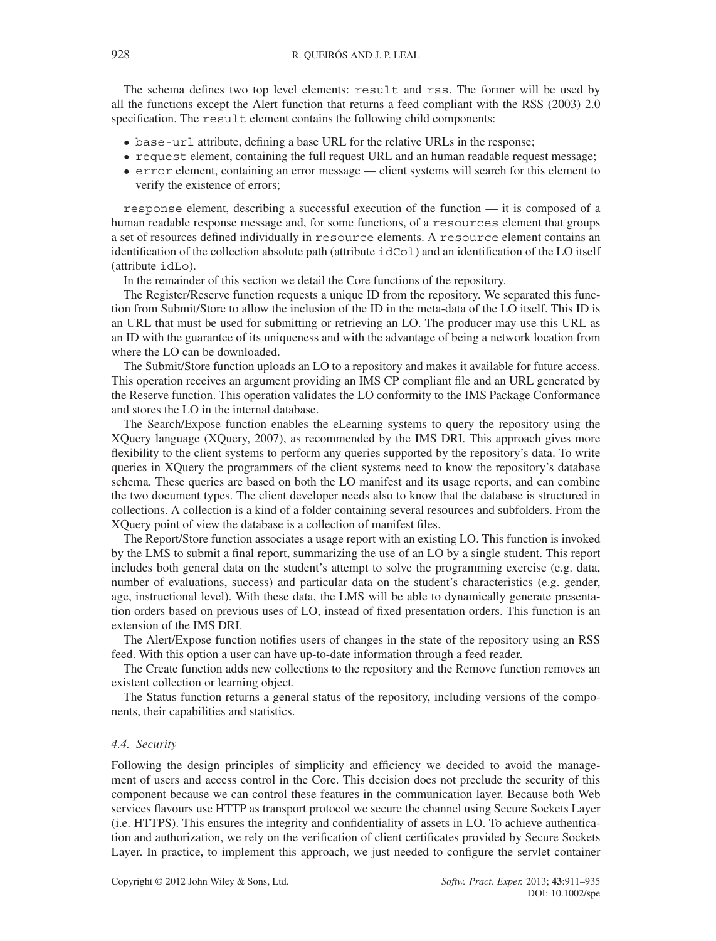The schema defines two top level elements: result and rss. The former will be used by all the functions except the Alert function that returns a feed compliant with the RSS (2003) 2.0 specification. The result element contains the following child components:

- base-url attribute, defining a base URL for the relative URLs in the response;
- request element, containing the full request URL and an human readable request message;
- error element, containing an error message client systems will search for this element to verify the existence of errors;

response element, describing a successful execution of the function — it is composed of a human readable response message and, for some functions, of a resources element that groups a set of resources defined individually in resource elements. A resource element contains an identification of the collection absolute path (attribute idCol) and an identification of the LO itself (attribute idLo).

In the remainder of this section we detail the Core functions of the repository.

The Register/Reserve function requests a unique ID from the repository. We separated this function from Submit/Store to allow the inclusion of the ID in the meta-data of the LO itself. This ID is an URL that must be used for submitting or retrieving an LO. The producer may use this URL as an ID with the guarantee of its uniqueness and with the advantage of being a network location from where the LO can be downloaded.

The Submit/Store function uploads an LO to a repository and makes it available for future access. This operation receives an argument providing an IMS CP compliant file and an URL generated by the Reserve function. This operation validates the LO conformity to the IMS Package Conformance and stores the LO in the internal database.

The Search/Expose function enables the eLearning systems to query the repository using the XQuery language (XQuery, 2007), as recommended by the IMS DRI. This approach gives more flexibility to the client systems to perform any queries supported by the repository's data. To write queries in XQuery the programmers of the client systems need to know the repository's database schema. These queries are based on both the LO manifest and its usage reports, and can combine the two document types. The client developer needs also to know that the database is structured in collections. A collection is a kind of a folder containing several resources and subfolders. From the XQuery point of view the database is a collection of manifest files.

The Report/Store function associates a usage report with an existing LO. This function is invoked by the LMS to submit a final report, summarizing the use of an LO by a single student. This report includes both general data on the student's attempt to solve the programming exercise (e.g. data, number of evaluations, success) and particular data on the student's characteristics (e.g. gender, age, instructional level). With these data, the LMS will be able to dynamically generate presentation orders based on previous uses of LO, instead of fixed presentation orders. This function is an extension of the IMS DRI.

The Alert/Expose function notifies users of changes in the state of the repository using an RSS feed. With this option a user can have up-to-date information through a feed reader.

The Create function adds new collections to the repository and the Remove function removes an existent collection or learning object.

The Status function returns a general status of the repository, including versions of the components, their capabilities and statistics.

## *4.4. Security*

Following the design principles of simplicity and efficiency we decided to avoid the management of users and access control in the Core. This decision does not preclude the security of this component because we can control these features in the communication layer. Because both Web services flavours use HTTP as transport protocol we secure the channel using Secure Sockets Layer (i.e. HTTPS). This ensures the integrity and confidentiality of assets in LO. To achieve authentication and authorization, we rely on the verification of client certificates provided by Secure Sockets Layer. In practice, to implement this approach, we just needed to configure the servlet container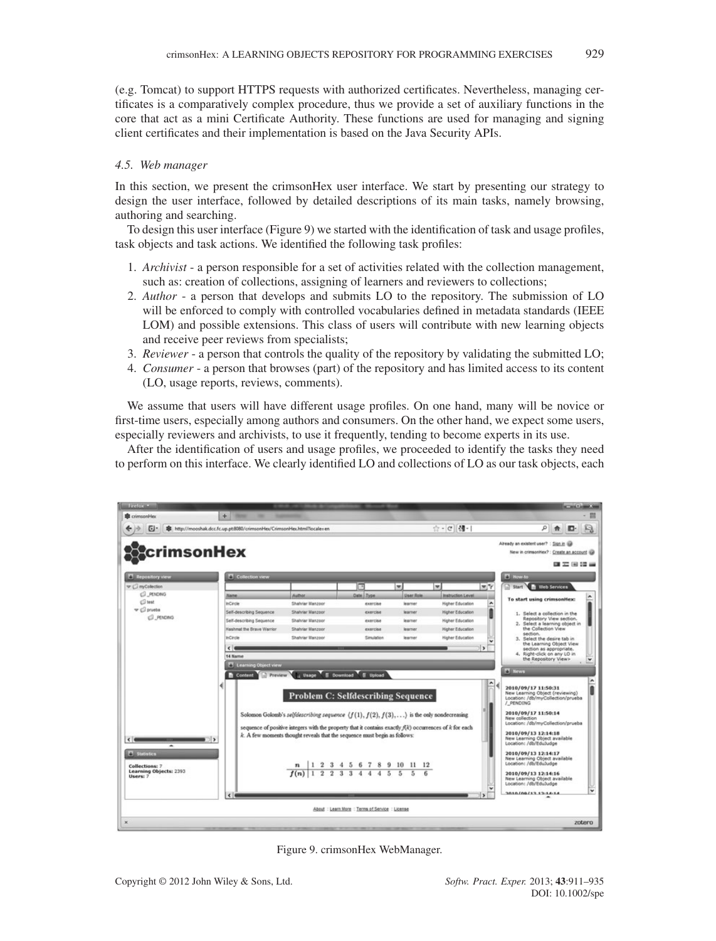(e.g. Tomcat) to support HTTPS requests with authorized certificates. Nevertheless, managing certificates is a comparatively complex procedure, thus we provide a set of auxiliary functions in the core that act as a mini Certificate Authority. These functions are used for managing and signing client certificates and their implementation is based on the Java Security APIs.

## *4.5. Web manager*

In this section, we present the crimsonHex user interface. We start by presenting our strategy to design the user interface, followed by detailed descriptions of its main tasks, namely browsing, authoring and searching.

To design this user interface (Figure 9) we started with the identification of task and usage profiles, task objects and task actions. We identified the following task profiles:

- 1. *Archivist* a person responsible for a set of activities related with the collection management, such as: creation of collections, assigning of learners and reviewers to collections;
- 2. *Author* a person that develops and submits LO to the repository. The submission of LO will be enforced to comply with controlled vocabularies defined in metadata standards (IEEE LOM) and possible extensions. This class of users will contribute with new learning objects and receive peer reviews from specialists;
- 3. *Reviewer* a person that controls the quality of the repository by validating the submitted LO;
- 4. *Consumer* a person that browses (part) of the repository and has limited access to its content (LO, usage reports, reviews, comments).

We assume that users will have different usage profiles. On one hand, many will be novice or first-time users, especially among authors and consumers. On the other hand, we expect some users, especially reviewers and archivists, to use it frequently, tending to become experts in its use.

After the identification of users and usage profiles, we proceeded to identify the tasks they need to perform on this interface. We clearly identified LO and collections of LO as our task objects, each



Figure 9. crimsonHex WebManager.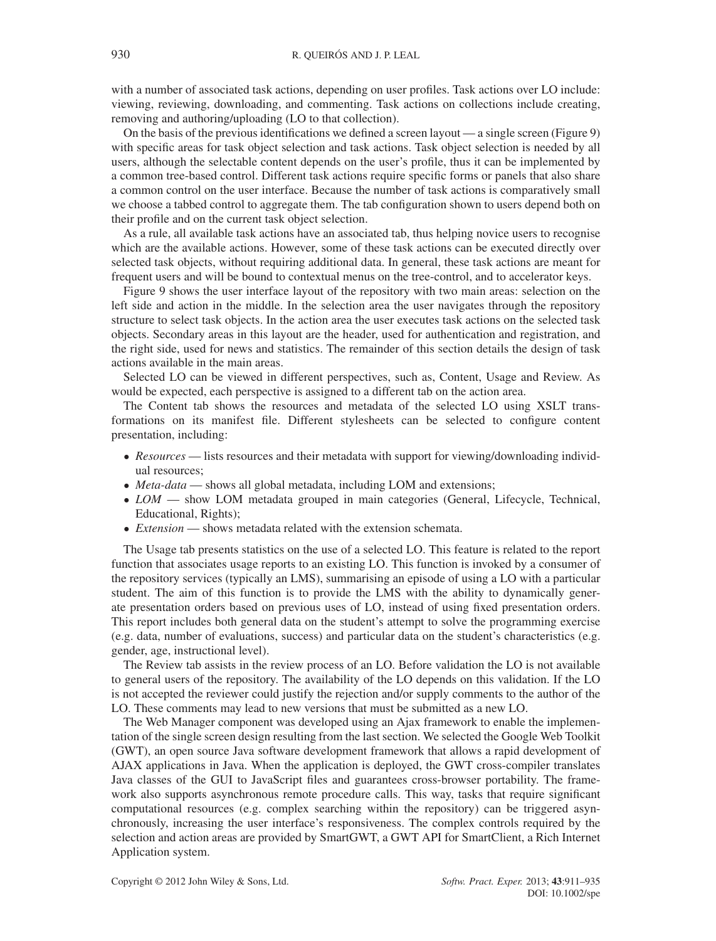with a number of associated task actions, depending on user profiles. Task actions over LO include: viewing, reviewing, downloading, and commenting. Task actions on collections include creating, removing and authoring/uploading (LO to that collection).

On the basis of the previous identifications we defined a screen layout — a single screen (Figure 9) with specific areas for task object selection and task actions. Task object selection is needed by all users, although the selectable content depends on the user's profile, thus it can be implemented by a common tree-based control. Different task actions require specific forms or panels that also share a common control on the user interface. Because the number of task actions is comparatively small we choose a tabbed control to aggregate them. The tab configuration shown to users depend both on their profile and on the current task object selection.

As a rule, all available task actions have an associated tab, thus helping novice users to recognise which are the available actions. However, some of these task actions can be executed directly over selected task objects, without requiring additional data. In general, these task actions are meant for frequent users and will be bound to contextual menus on the tree-control, and to accelerator keys.

Figure 9 shows the user interface layout of the repository with two main areas: selection on the left side and action in the middle. In the selection area the user navigates through the repository structure to select task objects. In the action area the user executes task actions on the selected task objects. Secondary areas in this layout are the header, used for authentication and registration, and the right side, used for news and statistics. The remainder of this section details the design of task actions available in the main areas.

Selected LO can be viewed in different perspectives, such as, Content, Usage and Review. As would be expected, each perspective is assigned to a different tab on the action area.

The Content tab shows the resources and metadata of the selected LO using XSLT transformations on its manifest file. Different stylesheets can be selected to configure content presentation, including:

- *Resources* lists resources and their metadata with support for viewing/downloading individual resources;
- *Meta-data* shows all global metadata, including LOM and extensions;
- *LOM* show LOM metadata grouped in main categories (General, Lifecycle, Technical, Educational, Rights);
- *Extension* shows metadata related with the extension schemata.

The Usage tab presents statistics on the use of a selected LO. This feature is related to the report function that associates usage reports to an existing LO. This function is invoked by a consumer of the repository services (typically an LMS), summarising an episode of using a LO with a particular student. The aim of this function is to provide the LMS with the ability to dynamically generate presentation orders based on previous uses of LO, instead of using fixed presentation orders. This report includes both general data on the student's attempt to solve the programming exercise (e.g. data, number of evaluations, success) and particular data on the student's characteristics (e.g. gender, age, instructional level).

The Review tab assists in the review process of an LO. Before validation the LO is not available to general users of the repository. The availability of the LO depends on this validation. If the LO is not accepted the reviewer could justify the rejection and/or supply comments to the author of the LO. These comments may lead to new versions that must be submitted as a new LO.

The Web Manager component was developed using an Ajax framework to enable the implementation of the single screen design resulting from the last section. We selected the Google Web Toolkit (GWT), an open source Java software development framework that allows a rapid development of AJAX applications in Java. When the application is deployed, the GWT cross-compiler translates Java classes of the GUI to JavaScript files and guarantees cross-browser portability. The framework also supports asynchronous remote procedure calls. This way, tasks that require significant computational resources (e.g. complex searching within the repository) can be triggered asynchronously, increasing the user interface's responsiveness. The complex controls required by the selection and action areas are provided by SmartGWT, a GWT API for SmartClient, a Rich Internet Application system.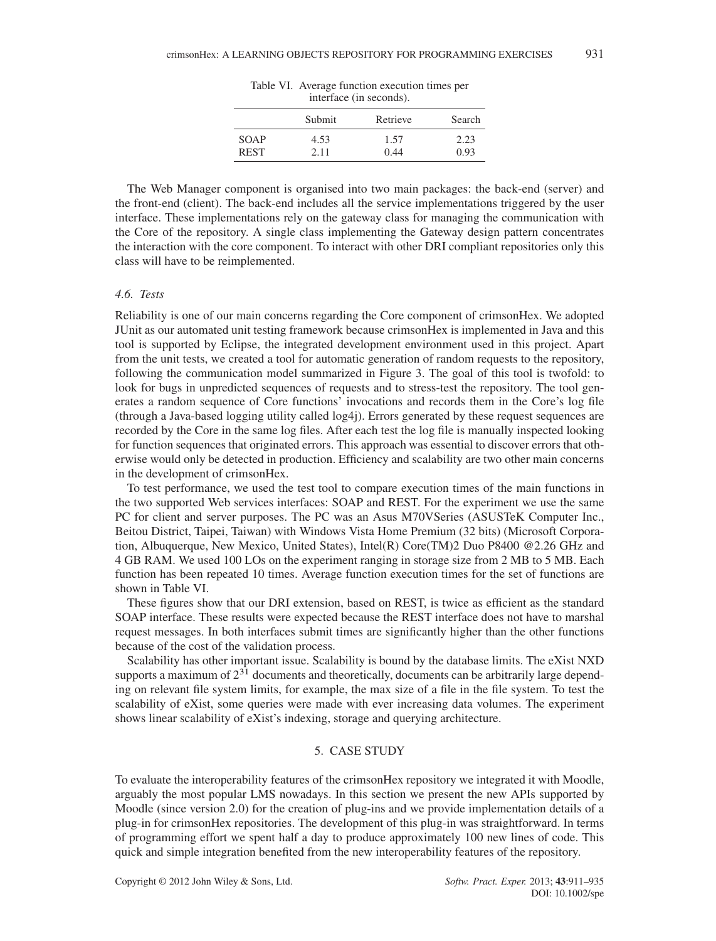|             | Submit | Retrieve | Search |
|-------------|--------|----------|--------|
| <b>SOAP</b> | 4.53   | 1.57     | 2.23   |
| <b>REST</b> | 2.11   | 0.44     | 0.93   |

Table VI. Average function execution times per interface (in seconds).

The Web Manager component is organised into two main packages: the back-end (server) and the front-end (client). The back-end includes all the service implementations triggered by the user interface. These implementations rely on the gateway class for managing the communication with the Core of the repository. A single class implementing the Gateway design pattern concentrates the interaction with the core component. To interact with other DRI compliant repositories only this class will have to be reimplemented.

# *4.6. Tests*

Reliability is one of our main concerns regarding the Core component of crimsonHex. We adopted JUnit as our automated unit testing framework because crimsonHex is implemented in Java and this tool is supported by Eclipse, the integrated development environment used in this project. Apart from the unit tests, we created a tool for automatic generation of random requests to the repository, following the communication model summarized in Figure 3. The goal of this tool is twofold: to look for bugs in unpredicted sequences of requests and to stress-test the repository. The tool generates a random sequence of Core functions' invocations and records them in the Core's log file (through a Java-based logging utility called log4j). Errors generated by these request sequences are recorded by the Core in the same log files. After each test the log file is manually inspected looking for function sequences that originated errors. This approach was essential to discover errors that otherwise would only be detected in production. Efficiency and scalability are two other main concerns in the development of crimsonHex.

To test performance, we used the test tool to compare execution times of the main functions in the two supported Web services interfaces: SOAP and REST. For the experiment we use the same PC for client and server purposes. The PC was an Asus M70VSeries (ASUSTeK Computer Inc., Beitou District, Taipei, Taiwan) with Windows Vista Home Premium (32 bits) (Microsoft Corporation, Albuquerque, New Mexico, United States), Intel(R) Core(TM)2 Duo P8400 @2.26 GHz and 4 GB RAM. We used 100 LOs on the experiment ranging in storage size from 2 MB to 5 MB. Each function has been repeated 10 times. Average function execution times for the set of functions are shown in Table VI.

These figures show that our DRI extension, based on REST, is twice as efficient as the standard SOAP interface. These results were expected because the REST interface does not have to marshal request messages. In both interfaces submit times are significantly higher than the other functions because of the cost of the validation process.

Scalability has other important issue. Scalability is bound by the database limits. The eXist NXD supports a maximum of  $2^{31}$  documents and theoretically, documents can be arbitrarily large depending on relevant file system limits, for example, the max size of a file in the file system. To test the scalability of eXist, some queries were made with ever increasing data volumes. The experiment shows linear scalability of eXist's indexing, storage and querying architecture.

# 5. CASE STUDY

To evaluate the interoperability features of the crimsonHex repository we integrated it with Moodle, arguably the most popular LMS nowadays. In this section we present the new APIs supported by Moodle (since version 2.0) for the creation of plug-ins and we provide implementation details of a plug-in for crimsonHex repositories. The development of this plug-in was straightforward. In terms of programming effort we spent half a day to produce approximately 100 new lines of code. This quick and simple integration benefited from the new interoperability features of the repository.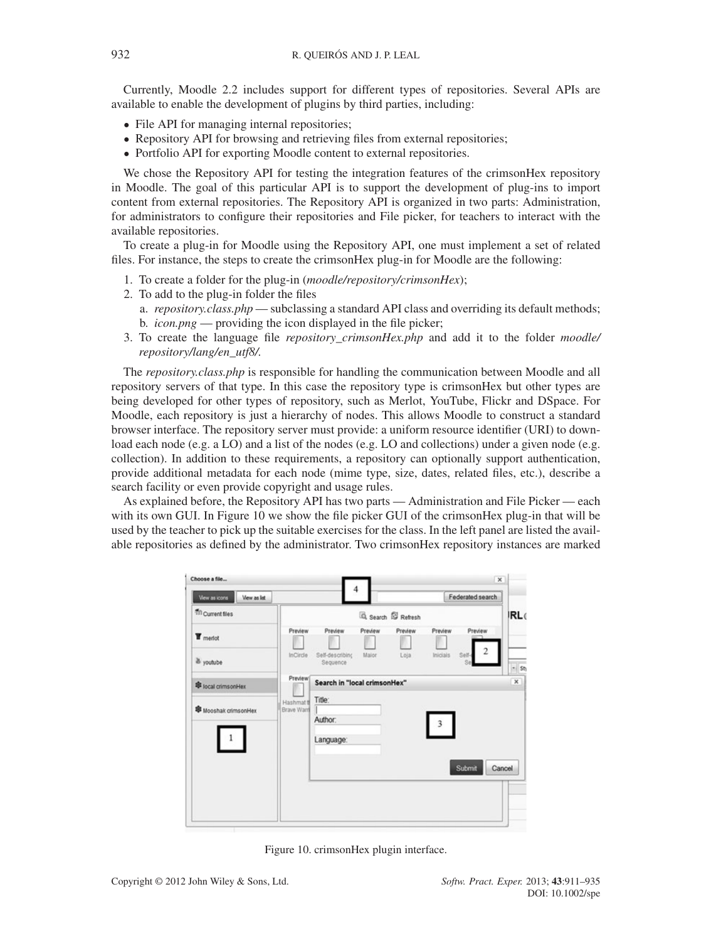Currently, Moodle 2.2 includes support for different types of repositories. Several APIs are available to enable the development of plugins by third parties, including:

- File API for managing internal repositories;
- Repository API for browsing and retrieving files from external repositories;
- Portfolio API for exporting Moodle content to external repositories.

We chose the Repository API for testing the integration features of the crimsonHex repository in Moodle. The goal of this particular API is to support the development of plug-ins to import content from external repositories. The Repository API is organized in two parts: Administration, for administrators to configure their repositories and File picker, for teachers to interact with the available repositories.

To create a plug-in for Moodle using the Repository API, one must implement a set of related files. For instance, the steps to create the crimsonHex plug-in for Moodle are the following:

- 1. To create a folder for the plug-in (*moodle/repository/crimsonHex*);
- 2. To add to the plug-in folder the files
	- a. *repository.class.php* subclassing a standard API class and overriding its default methods; b. *icon.png* — providing the icon displayed in the file picker;
- 3. To create the language file *repository\_crimsonHex.php* and add it to the folder *moodle/ repository/lang/en\_utf8/.*

The *repository.class.php* is responsible for handling the communication between Moodle and all repository servers of that type. In this case the repository type is crimsonHex but other types are being developed for other types of repository, such as Merlot, YouTube, Flickr and DSpace. For Moodle, each repository is just a hierarchy of nodes. This allows Moodle to construct a standard browser interface. The repository server must provide: a uniform resource identifier (URI) to download each node (e.g. a LO) and a list of the nodes (e.g. LO and collections) under a given node (e.g. collection). In addition to these requirements, a repository can optionally support authentication, provide additional metadata for each node (mime type, size, dates, related files, etc.), describe a search facility or even provide copyright and usage rules.

As explained before, the Repository API has two parts — Administration and File Picker — each with its own GUI. In Figure 10 we show the file picker GUI of the crimsonHex plug-in that will be used by the teacher to pick up the suitable exercises for the class. In the left panel are listed the available repositories as defined by the administrator. Two crimsonHex repository instances are marked

| View as icons<br>View as list |                          |                              |         |                  |                         | Federated search |                         |
|-------------------------------|--------------------------|------------------------------|---------|------------------|-------------------------|------------------|-------------------------|
| Til Current files             |                          |                              |         | Search & Refresh |                         |                  | RL(                     |
| <b>W</b> meriot               | Preview                  | Preview                      | Preview | Preview          | Preview                 | Preview          |                         |
| & youtube                     | InCircle                 | Self-describing<br>Sequence  | Major   | Loja             | Iniciais                | 2<br>Self        | $-$ St                  |
| <b>零</b> local crimsonHex     | Preview                  | Search in "local crimsonHex" |         |                  |                         |                  | $\overline{\mathbf{x}}$ |
| Mooshak crimsonHex            | Hashmat tf<br>Brave Ward | Title:                       |         |                  |                         |                  |                         |
|                               |                          | Author:                      |         |                  | $\overline{\mathbf{3}}$ |                  |                         |
| $\mathbf{1}$                  |                          | Language:                    |         |                  |                         |                  |                         |
|                               |                          |                              |         |                  |                         |                  |                         |
|                               |                          |                              |         |                  |                         | Submit           | Cancel                  |
|                               |                          |                              |         |                  |                         |                  |                         |
|                               |                          |                              |         |                  |                         |                  |                         |

Figure 10. crimsonHex plugin interface.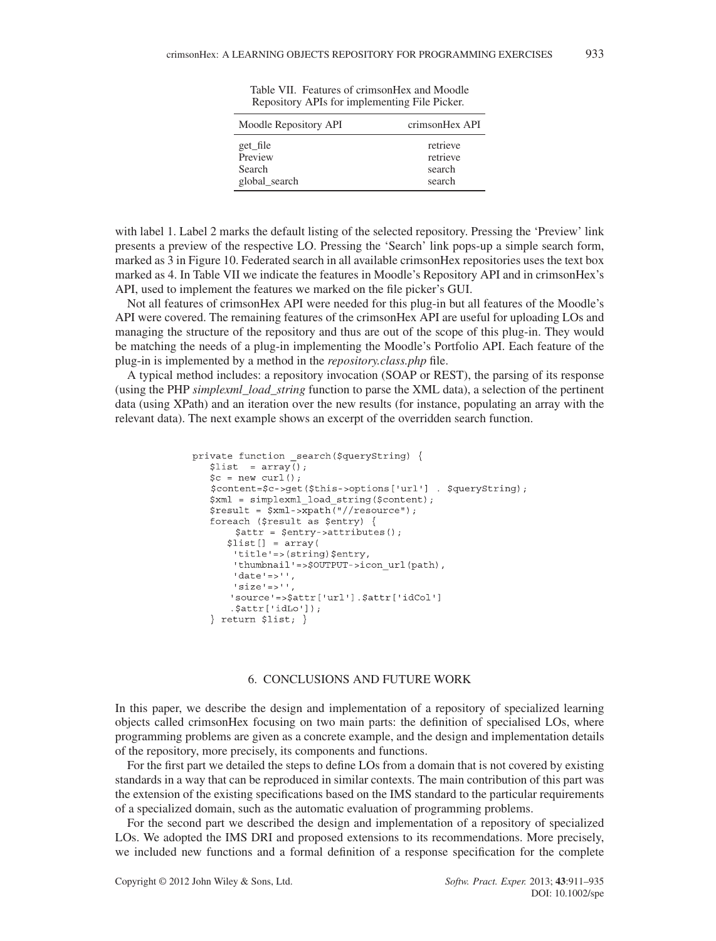| Moodle Repository API | crimsonHex API |
|-----------------------|----------------|
| get file              | retrieve       |
| Preview               | retrieve       |
| Search                | search         |
| global search         | search         |

Table VII. Features of crimsonHex and Moodle Repository APIs for implementing File Picker.

with label 1. Label 2 marks the default listing of the selected repository. Pressing the 'Preview' link presents a preview of the respective LO. Pressing the 'Search' link pops-up a simple search form, marked as 3 in Figure 10. Federated search in all available crimsonHex repositories uses the text box marked as 4. In Table VII we indicate the features in Moodle's Repository API and in crimsonHex's API, used to implement the features we marked on the file picker's GUI.

Not all features of crimsonHex API were needed for this plug-in but all features of the Moodle's API were covered. The remaining features of the crimsonHex API are useful for uploading LOs and managing the structure of the repository and thus are out of the scope of this plug-in. They would be matching the needs of a plug-in implementing the Moodle's Portfolio API. Each feature of the plug-in is implemented by a method in the *repository.class.php* file.

A typical method includes: a repository invocation (SOAP or REST), the parsing of its response (using the PHP *simplexml\_load\_string* function to parse the XML data), a selection of the pertinent data (using XPath) and an iteration over the new results (for instance, populating an array with the relevant data). The next example shows an excerpt of the overridden search function.

```
private function search ($queryString) {
   slist = array();
   \text{Sc} = new curl():
   $content=$c->get($this->options['url'] . $queryString);
   $xml = simplexml\_load\_string(Scontent);$result = $xml->xpath("//resource");foreach ($result as $entry) {
       $attr = $entry - satributes();
      $list[] = array('title' => (string) $entry,
       'thumbnail'=>$OUTPUT->icon url(path),
       'date' =>''','size's =>'',
      'source'=>$attr['url'].$attr['idCol']
      .\$attr['idLo'] ;
   \} return $list; \}
```
## 6. CONCLUSIONS AND FUTURE WORK

In this paper, we describe the design and implementation of a repository of specialized learning objects called crimsonHex focusing on two main parts: the definition of specialised LOs, where programming problems are given as a concrete example, and the design and implementation details of the repository, more precisely, its components and functions.

For the first part we detailed the steps to define LOs from a domain that is not covered by existing standards in a way that can be reproduced in similar contexts. The main contribution of this part was the extension of the existing specifications based on the IMS standard to the particular requirements of a specialized domain, such as the automatic evaluation of programming problems.

For the second part we described the design and implementation of a repository of specialized LOs. We adopted the IMS DRI and proposed extensions to its recommendations. More precisely, we included new functions and a formal definition of a response specification for the complete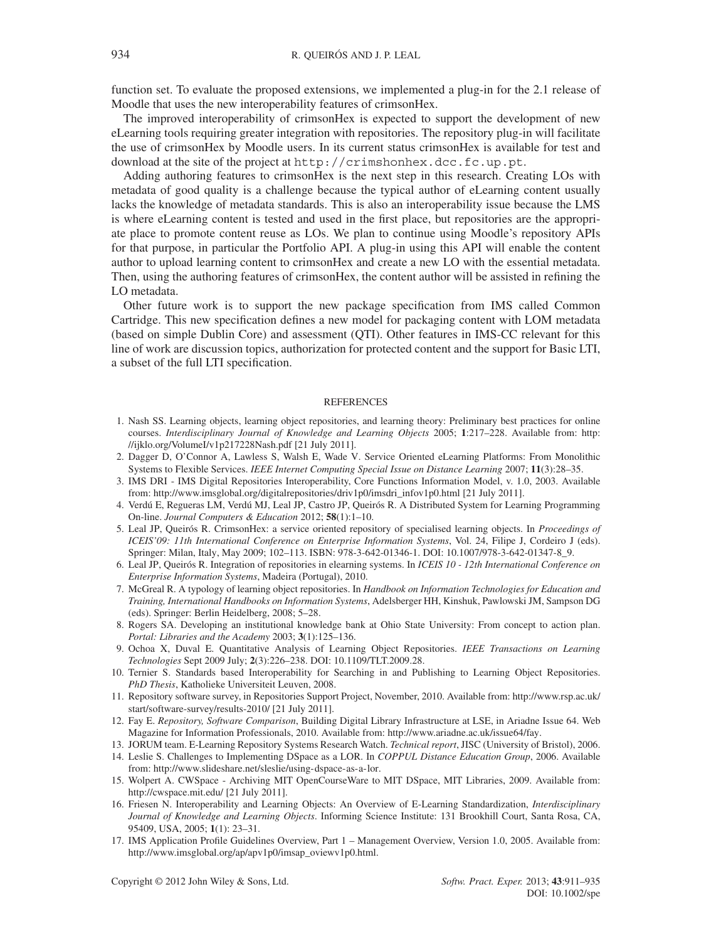function set. To evaluate the proposed extensions, we implemented a plug-in for the 2.1 release of Moodle that uses the new interoperability features of crimsonHex.

The improved interoperability of crimsonHex is expected to support the development of new eLearning tools requiring greater integration with repositories. The repository plug-in will facilitate the use of crimsonHex by Moodle users. In its current status crimsonHex is available for test and download at the site of the project at http://crimshonhex.dcc.fc.up.pt.

Adding authoring features to crimsonHex is the next step in this research. Creating LOs with metadata of good quality is a challenge because the typical author of eLearning content usually lacks the knowledge of metadata standards. This is also an interoperability issue because the LMS is where eLearning content is tested and used in the first place, but repositories are the appropriate place to promote content reuse as LOs. We plan to continue using Moodle's repository APIs for that purpose, in particular the Portfolio API. A plug-in using this API will enable the content author to upload learning content to crimsonHex and create a new LO with the essential metadata. Then, using the authoring features of crimsonHex, the content author will be assisted in refining the LO metadata.

Other future work is to support the new package specification from IMS called Common Cartridge. This new specification defines a new model for packaging content with LOM metadata (based on simple Dublin Core) and assessment (QTI). Other features in IMS-CC relevant for this line of work are discussion topics, authorization for protected content and the support for Basic LTI, a subset of the full LTI specification.

#### **REFERENCES**

- 1. Nash SS. Learning objects, learning object repositories, and learning theory: Preliminary best practices for online courses. *Interdisciplinary Journal of Knowledge and Learning Objects* 2005; **1**:217–228. Available from: http: //ijklo.org/VolumeI/v1p217228Nash.pdf [21 July 2011].
- 2. Dagger D, O'Connor A, Lawless S, Walsh E, Wade V. Service Oriented eLearning Platforms: From Monolithic Systems to Flexible Services. *IEEE Internet Computing Special Issue on Distance Learning* 2007; **11**(3):28–35.
- 3. IMS DRI IMS Digital Repositories Interoperability, Core Functions Information Model, v. 1.0, 2003. Available from: http://www.imsglobal.org/digitalrepositories/driv1p0/imsdri\_infov1p0.html [21 July 2011].
- 4. Verdú E, Regueras LM, Verdú MJ, Leal JP, Castro JP, Queirós R. A Distributed System for Learning Programming On-line. *Journal Computers & Education* 2012; **58**(1):1–10.
- 5. Leal JP, Queirós R. CrimsonHex: a service oriented repository of specialised learning objects. In *Proceedings of ICEIS'09: 11th International Conference on Enterprise Information Systems*, Vol. 24, Filipe J, Cordeiro J (eds). Springer: Milan, Italy, May 2009; 102–113. ISBN: 978-3-642-01346-1. DOI: 10.1007/978-3-642-01347-8\_9.
- 6. Leal JP, Queirós R. Integration of repositories in elearning systems. In *ICEIS 10 12th International Conference on Enterprise Information Systems*, Madeira (Portugal), 2010.
- 7. McGreal R. A typology of learning object repositories. In *Handbook on Information Technologies for Education and Training, International Handbooks on Information Systems*, Adelsberger HH, Kinshuk, Pawlowski JM, Sampson DG (eds). Springer: Berlin Heidelberg, 2008; 5–28.
- 8. Rogers SA. Developing an institutional knowledge bank at Ohio State University: From concept to action plan. *Portal: Libraries and the Academy* 2003; **3**(1):125–136.
- 9. Ochoa X, Duval E. Quantitative Analysis of Learning Object Repositories. *IEEE Transactions on Learning Technologies* Sept 2009 July; **2**(3):226–238. DOI: 10.1109/TLT.2009.28.
- 10. Ternier S. Standards based Interoperability for Searching in and Publishing to Learning Object Repositories. *PhD Thesis*, Katholieke Universiteit Leuven, 2008.
- 11. Repository software survey, in Repositories Support Project, November, 2010. Available from: http://www.rsp.ac.uk/ start/software-survey/results-2010/ [21 July 2011].
- 12. Fay E. *Repository, Software Comparison*, Building Digital Library Infrastructure at LSE, in Ariadne Issue 64. Web Magazine for Information Professionals, 2010. Available from: http://www.ariadne.ac.uk/issue64/fay.
- 13. JORUM team. E-Learning Repository Systems Research Watch. *Technical report*, JISC (University of Bristol), 2006.
- 14. Leslie S. Challenges to Implementing DSpace as a LOR. In *COPPUL Distance Education Group*, 2006. Available from: http://www.slideshare.net/sleslie/using-dspace-as-a-lor.
- 15. Wolpert A. CWSpace Archiving MIT OpenCourseWare to MIT DSpace, MIT Libraries, 2009. Available from: http://cwspace.mit.edu/ [21 July 2011].
- 16. Friesen N. Interoperability and Learning Objects: An Overview of E-Learning Standardization, *Interdisciplinary Journal of Knowledge and Learning Objects*. Informing Science Institute: 131 Brookhill Court, Santa Rosa, CA, 95409, USA, 2005; **1**(1): 23–31.
- 17. IMS Application Profile Guidelines Overview, Part 1 Management Overview, Version 1.0, 2005. Available from: http://www.imsglobal.org/ap/apv1p0/imsap\_oviewv1p0.html.